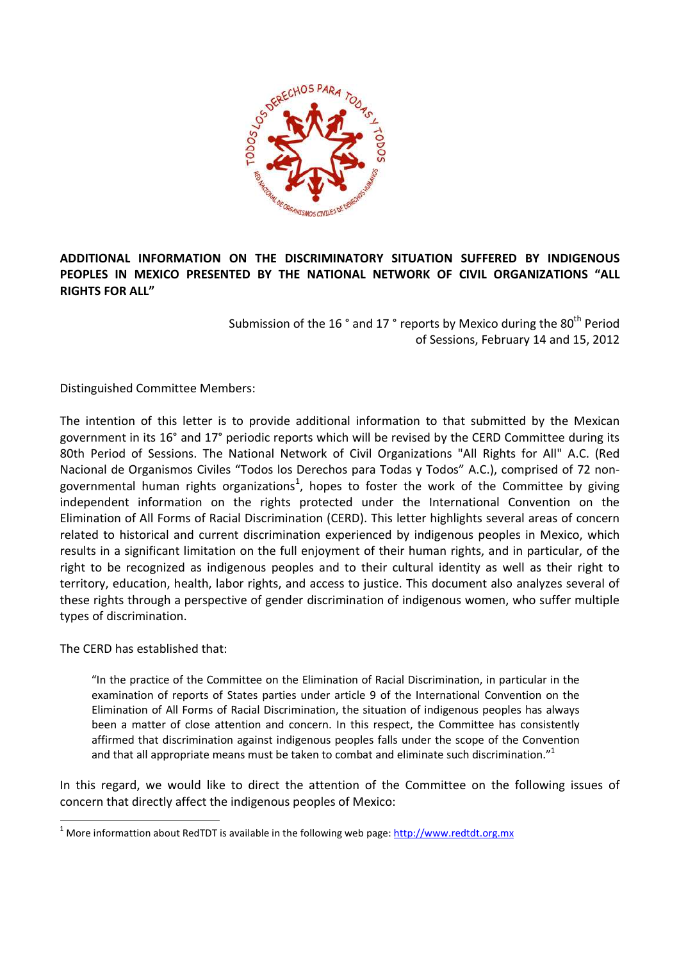

# **ADDITIONAL INFORMATION ON THE DISCRIMINATORY SITUATION SUFFERED BY INDIGENOUS PEOPLES IN MEXICO PRESENTED BY THE NATIONAL NETWORK OF CIVIL ORGANIZATIONS "ALL RIGHTS FOR ALL"**

Submission of the 16° and 17° reports by Mexico during the 80<sup>th</sup> Period of Sessions, February 14 and 15, 2012

Distinguished Committee Members:

The intention of this letter is to provide additional information to that submitted by the Mexican government in its 16° and 17° periodic reports which will be revised by the CERD Committee during its 80th Period of Sessions. The National Network of Civil Organizations "All Rights for All" A.C. (Red Nacional de Organismos Civiles "Todos los Derechos para Todas y Todos" A.C.), comprised of 72 nongovernmental human rights organizations<sup>1</sup>, hopes to foster the work of the Committee by giving independent information on the rights protected under the International Convention on the Elimination of All Forms of Racial Discrimination (CERD). This letter highlights several areas of concern related to historical and current discrimination experienced by indigenous peoples in Mexico, which results in a significant limitation on the full enjoyment of their human rights, and in particular, of the right to be recognized as indigenous peoples and to their cultural identity as well as their right to territory, education, health, labor rights, and access to justice. This document also analyzes several of these rights through a perspective of gender discrimination of indigenous women, who suffer multiple types of discrimination.

The CERD has established that:

 $\overline{\phantom{0}}$ 

"In the practice of the Committee on the Elimination of Racial Discrimination, in particular in the examination of reports of States parties under article 9 of the International Convention on the Elimination of All Forms of Racial Discrimination, the situation of indigenous peoples has always been a matter of close attention and concern. In this respect, the Committee has consistently affirmed that discrimination against indigenous peoples falls under the scope of the Convention and that all appropriate means must be taken to combat and eliminate such discrimination."<sup>1</sup>

In this regard, we would like to direct the attention of the Committee on the following issues of concern that directly affect the indigenous peoples of Mexico:

<sup>1</sup> More informattion about RedTDT is available in the following web page: http://www.redtdt.org.mx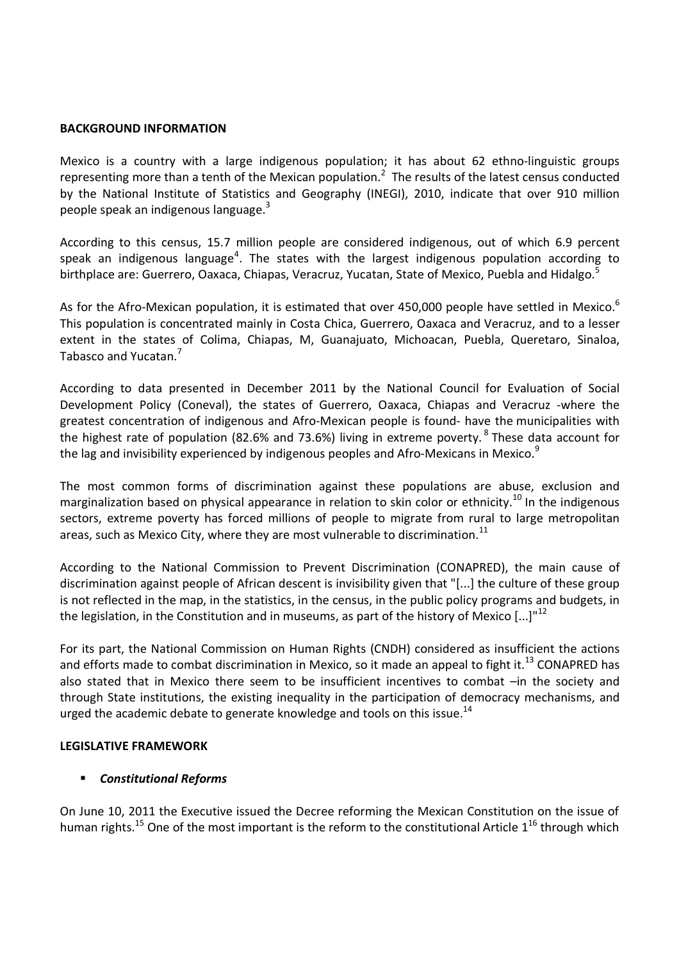#### **BACKGROUND INFORMATION**

Mexico is a country with a large indigenous population; it has about 62 ethno-linguistic groups representing more than a tenth of the Mexican population.<sup>2</sup> The results of the latest census conducted by the National Institute of Statistics and Geography (INEGI), 2010, indicate that over 910 million people speak an indigenous language.<sup>3</sup>

According to this census, 15.7 million people are considered indigenous, out of which 6.9 percent speak an indigenous language<sup>4</sup>. The states with the largest indigenous population according to birthplace are: Guerrero, Oaxaca, Chiapas, Veracruz, Yucatan, State of Mexico, Puebla and Hidalgo.<sup>5</sup>

As for the Afro-Mexican population, it is estimated that over 450,000 people have settled in Mexico.<sup>6</sup> This population is concentrated mainly in Costa Chica, Guerrero, Oaxaca and Veracruz, and to a lesser extent in the states of Colima, Chiapas, M, Guanajuato, Michoacan, Puebla, Queretaro, Sinaloa, Tabasco and Yucatan.<sup>7</sup>

According to data presented in December 2011 by the National Council for Evaluation of Social Development Policy (Coneval), the states of Guerrero, Oaxaca, Chiapas and Veracruz -where the greatest concentration of indigenous and Afro-Mexican people is found- have the municipalities with the highest rate of population (82.6% and 73.6%) living in extreme poverty.<sup>8</sup> These data account for the lag and invisibility experienced by indigenous peoples and Afro-Mexicans in Mexico.<sup>9</sup>

The most common forms of discrimination against these populations are abuse, exclusion and marginalization based on physical appearance in relation to skin color or ethnicity.<sup>10</sup> In the indigenous sectors, extreme poverty has forced millions of people to migrate from rural to large metropolitan areas, such as Mexico City, where they are most vulnerable to discrimination.<sup>11</sup>

According to the National Commission to Prevent Discrimination (CONAPRED), the main cause of discrimination against people of African descent is invisibility given that "[...] the culture of these group is not reflected in the map, in the statistics, in the census, in the public policy programs and budgets, in the legislation, in the Constitution and in museums, as part of the history of Mexico  $\left[...\right]^{n12}$ 

For its part, the National Commission on Human Rights (CNDH) considered as insufficient the actions and efforts made to combat discrimination in Mexico, so it made an appeal to fight it.<sup>13</sup> CONAPRED has also stated that in Mexico there seem to be insufficient incentives to combat –in the society and through State institutions, the existing inequality in the participation of democracy mechanisms, and urged the academic debate to generate knowledge and tools on this issue.<sup>14</sup>

#### **LEGISLATIVE FRAMEWORK**

### *Constitutional Reforms*

On June 10, 2011 the Executive issued the Decree reforming the Mexican Constitution on the issue of human rights.<sup>15</sup> One of the most important is the reform to the constitutional Article  $1^{16}$  through which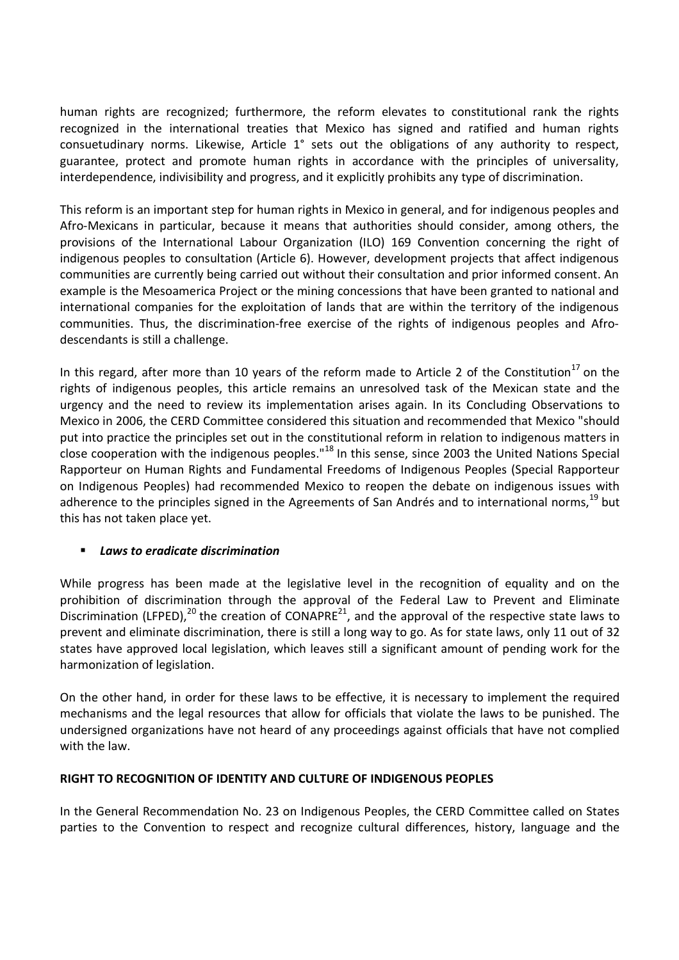human rights are recognized; furthermore, the reform elevates to constitutional rank the rights recognized in the international treaties that Mexico has signed and ratified and human rights consuetudinary norms. Likewise, Article 1° sets out the obligations of any authority to respect, guarantee, protect and promote human rights in accordance with the principles of universality, interdependence, indivisibility and progress, and it explicitly prohibits any type of discrimination.

This reform is an important step for human rights in Mexico in general, and for indigenous peoples and Afro-Mexicans in particular, because it means that authorities should consider, among others, the provisions of the International Labour Organization (ILO) 169 Convention concerning the right of indigenous peoples to consultation (Article 6). However, development projects that affect indigenous communities are currently being carried out without their consultation and prior informed consent. An example is the Mesoamerica Project or the mining concessions that have been granted to national and international companies for the exploitation of lands that are within the territory of the indigenous communities. Thus, the discrimination-free exercise of the rights of indigenous peoples and Afrodescendants is still a challenge.

In this regard, after more than 10 years of the reform made to Article 2 of the Constitution<sup>17</sup> on the rights of indigenous peoples, this article remains an unresolved task of the Mexican state and the urgency and the need to review its implementation arises again. In its Concluding Observations to Mexico in 2006, the CERD Committee considered this situation and recommended that Mexico "should put into practice the principles set out in the constitutional reform in relation to indigenous matters in close cooperation with the indigenous peoples."<sup>18</sup> In this sense, since 2003 the United Nations Special Rapporteur on Human Rights and Fundamental Freedoms of Indigenous Peoples (Special Rapporteur on Indigenous Peoples) had recommended Mexico to reopen the debate on indigenous issues with adherence to the principles signed in the Agreements of San Andrés and to international norms,<sup>19</sup> but this has not taken place yet.

# *Laws to eradicate discrimination*

While progress has been made at the legislative level in the recognition of equality and on the prohibition of discrimination through the approval of the Federal Law to Prevent and Eliminate Discrimination (LFPED),<sup>20</sup> the creation of CONAPRE<sup>21</sup>, and the approval of the respective state laws to prevent and eliminate discrimination, there is still a long way to go. As for state laws, only 11 out of 32 states have approved local legislation, which leaves still a significant amount of pending work for the harmonization of legislation.

On the other hand, in order for these laws to be effective, it is necessary to implement the required mechanisms and the legal resources that allow for officials that violate the laws to be punished. The undersigned organizations have not heard of any proceedings against officials that have not complied with the law.

### **RIGHT TO RECOGNITION OF IDENTITY AND CULTURE OF INDIGENOUS PEOPLES**

In the General Recommendation No. 23 on Indigenous Peoples, the CERD Committee called on States parties to the Convention to respect and recognize cultural differences, history, language and the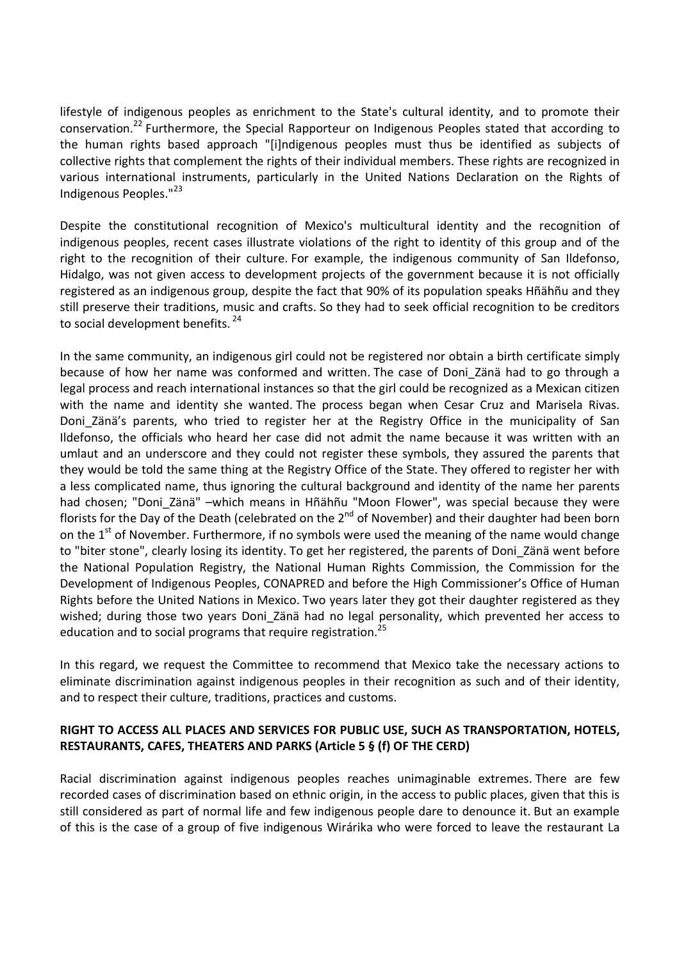lifestyle of indigenous peoples as enrichment to the State's cultural identity, and to promote their conservation.<sup>22</sup> Furthermore, the Special Rapporteur on Indigenous Peoples stated that according to the human rights based approach "[i]ndigenous peoples must thus be identified as subjects of collective rights that complement the rights of their individual members. These rights are recognized in various international instruments, particularly in the United Nations Declaration on the Rights of Indigenous Peoples."<sup>23</sup>

Despite the constitutional recognition of Mexico's multicultural identity and the recognition of indigenous peoples, recent cases illustrate violations of the right to identity of this group and of the right to the recognition of their culture. For example, the indigenous community of San Ildefonso, Hidalgo, was not given access to development projects of the government because it is not officially registered as an indigenous group, despite the fact that 90% of its population speaks Hñähñu and they still preserve their traditions, music and crafts. So they had to seek official recognition to be creditors to social development benefits.<sup>24</sup>

In the same community, an indigenous girl could not be registered nor obtain a birth certificate simply because of how her name was conformed and written. The case of Doni\_Zänä had to go through a legal process and reach international instances so that the girl could be recognized as a Mexican citizen with the name and identity she wanted. The process began when Cesar Cruz and Marisela Rivas. Doni Zänä's parents, who tried to register her at the Registry Office in the municipality of San Ildefonso, the officials who heard her case did not admit the name because it was written with an umlaut and an underscore and they could not register these symbols, they assured the parents that they would be told the same thing at the Registry Office of the State. They offered to register her with a less complicated name, thus ignoring the cultural background and identity of the name her parents had chosen; "Doni\_Zänä" –which means in Hñähñu "Moon Flower", was special because they were florists for the Day of the Death (celebrated on the  $2^{nd}$  of November) and their daughter had been born on the  $1<sup>st</sup>$  of November. Furthermore, if no symbols were used the meaning of the name would change to "biter stone", clearly losing its identity. To get her registered, the parents of Doni\_Zänä went before the National Population Registry, the National Human Rights Commission, the Commission for the Development of Indigenous Peoples, CONAPRED and before the High Commissioner's Office of Human Rights before the United Nations in Mexico. Two years later they got their daughter registered as they wished; during those two years Doni Zänä had no legal personality, which prevented her access to education and to social programs that require registration.<sup>25</sup>

In this regard, we request the Committee to recommend that Mexico take the necessary actions to eliminate discrimination against indigenous peoples in their recognition as such and of their identity, and to respect their culture, traditions, practices and customs.

## **RIGHT TO ACCESS ALL PLACES AND SERVICES FOR PUBLIC USE, SUCH AS TRANSPORTATION, HOTELS, RESTAURANTS, CAFES, THEATERS AND PARKS (Article 5 § (f) OF THE CERD)**

Racial discrimination against indigenous peoples reaches unimaginable extremes. There are few recorded cases of discrimination based on ethnic origin, in the access to public places, given that this is still considered as part of normal life and few indigenous people dare to denounce it. But an example of this is the case of a group of five indigenous Wirárika who were forced to leave the restaurant La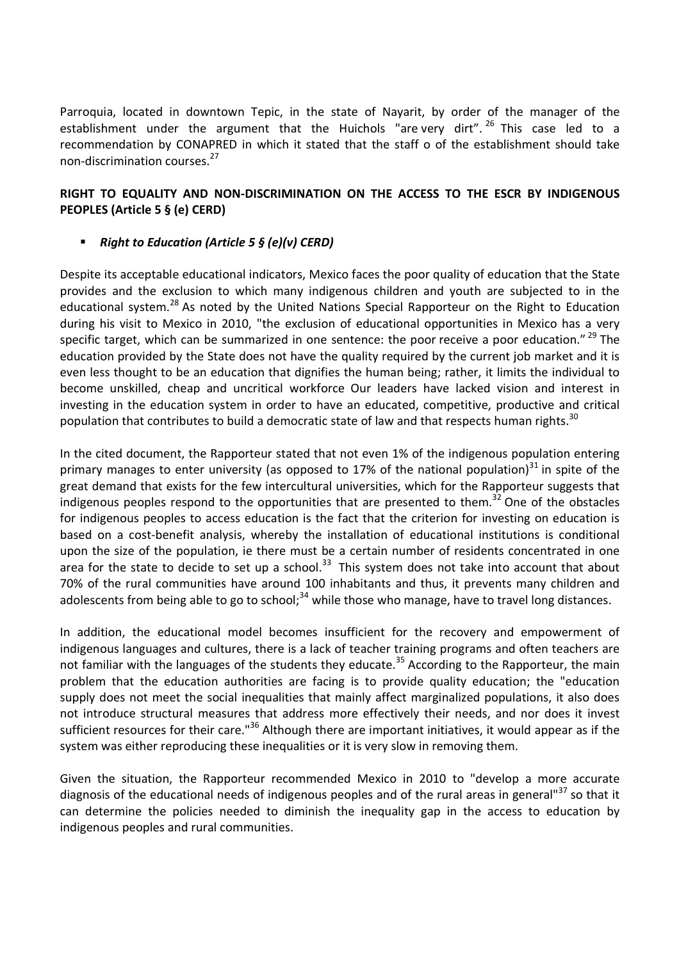Parroquia, located in downtown Tepic, in the state of Nayarit, by order of the manager of the establishment under the argument that the Huichols "are very dirt". <sup>26</sup> This case led to a recommendation by CONAPRED in which it stated that the staff o of the establishment should take non-discrimination courses.<sup>27</sup>

## **RIGHT TO EQUALITY AND NON-DISCRIMINATION ON THE ACCESS TO THE ESCR BY INDIGENOUS PEOPLES (Article 5 § (e) CERD)**

## *Right to Education (Article 5 § (e)(v) CERD)*

Despite its acceptable educational indicators, Mexico faces the poor quality of education that the State provides and the exclusion to which many indigenous children and youth are subjected to in the educational system.<sup>28</sup> As noted by the United Nations Special Rapporteur on the Right to Education during his visit to Mexico in 2010, "the exclusion of educational opportunities in Mexico has a very specific target, which can be summarized in one sentence: the poor receive a poor education."  $^{29}$  The education provided by the State does not have the quality required by the current job market and it is even less thought to be an education that dignifies the human being; rather, it limits the individual to become unskilled, cheap and uncritical workforce Our leaders have lacked vision and interest in investing in the education system in order to have an educated, competitive, productive and critical population that contributes to build a democratic state of law and that respects human rights.<sup>30</sup>

In the cited document, the Rapporteur stated that not even 1% of the indigenous population entering primary manages to enter university (as opposed to 17% of the national population) $31$  in spite of the great demand that exists for the few intercultural universities, which for the Rapporteur suggests that indigenous peoples respond to the opportunities that are presented to them.<sup>32</sup> One of the obstacles for indigenous peoples to access education is the fact that the criterion for investing on education is based on a cost-benefit analysis, whereby the installation of educational institutions is conditional upon the size of the population, ie there must be a certain number of residents concentrated in one area for the state to decide to set up a school.<sup>33</sup> This system does not take into account that about 70% of the rural communities have around 100 inhabitants and thus, it prevents many children and adolescents from being able to go to school; $34$  while those who manage, have to travel long distances.

In addition, the educational model becomes insufficient for the recovery and empowerment of indigenous languages and cultures, there is a lack of teacher training programs and often teachers are not familiar with the languages of the students they educate.<sup>35</sup> According to the Rapporteur, the main problem that the education authorities are facing is to provide quality education; the "education supply does not meet the social inequalities that mainly affect marginalized populations, it also does not introduce structural measures that address more effectively their needs, and nor does it invest sufficient resources for their care."<sup>36</sup> Although there are important initiatives, it would appear as if the system was either reproducing these inequalities or it is very slow in removing them.

Given the situation, the Rapporteur recommended Mexico in 2010 to "develop a more accurate diagnosis of the educational needs of indigenous peoples and of the rural areas in general"<sup>37</sup> so that it can determine the policies needed to diminish the inequality gap in the access to education by indigenous peoples and rural communities.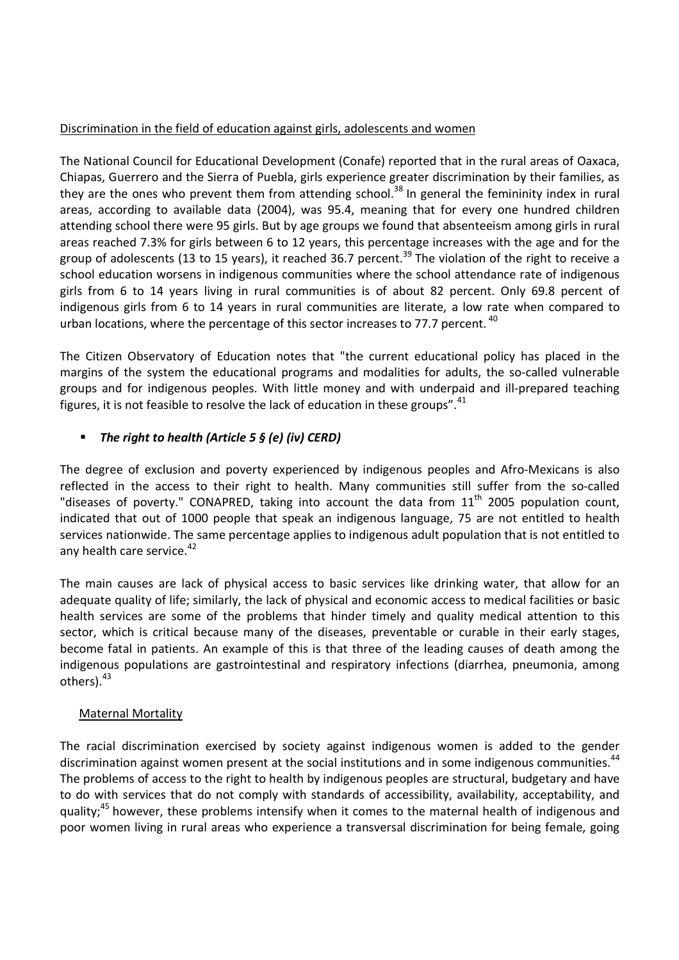## Discrimination in the field of education against girls, adolescents and women

The National Council for Educational Development (Conafe) reported that in the rural areas of Oaxaca, Chiapas, Guerrero and the Sierra of Puebla, girls experience greater discrimination by their families, as they are the ones who prevent them from attending school.<sup>38</sup> In general the femininity index in rural areas, according to available data (2004), was 95.4, meaning that for every one hundred children attending school there were 95 girls. But by age groups we found that absenteeism among girls in rural areas reached 7.3% for girls between 6 to 12 years, this percentage increases with the age and for the group of adolescents (13 to 15 years), it reached 36.7 percent.<sup>39</sup> The violation of the right to receive a school education worsens in indigenous communities where the school attendance rate of indigenous girls from 6 to 14 years living in rural communities is of about 82 percent. Only 69.8 percent of indigenous girls from 6 to 14 years in rural communities are literate, a low rate when compared to urban locations, where the percentage of this sector increases to 77.7 percent.<sup>40</sup>

The Citizen Observatory of Education notes that "the current educational policy has placed in the margins of the system the educational programs and modalities for adults, the so-called vulnerable groups and for indigenous peoples. With little money and with underpaid and ill-prepared teaching figures, it is not feasible to resolve the lack of education in these groups".<sup>41</sup>

# *The right to health (Article 5 § (e) (iv) CERD)*

The degree of exclusion and poverty experienced by indigenous peoples and Afro-Mexicans is also reflected in the access to their right to health. Many communities still suffer from the so-called "diseases of poverty." CONAPRED, taking into account the data from  $11<sup>th</sup>$  2005 population count, indicated that out of 1000 people that speak an indigenous language, 75 are not entitled to health services nationwide. The same percentage applies to indigenous adult population that is not entitled to any health care service.<sup>42</sup>

The main causes are lack of physical access to basic services like drinking water, that allow for an adequate quality of life; similarly, the lack of physical and economic access to medical facilities or basic health services are some of the problems that hinder timely and quality medical attention to this sector, which is critical because many of the diseases, preventable or curable in their early stages, become fatal in patients. An example of this is that three of the leading causes of death among the indigenous populations are gastrointestinal and respiratory infections (diarrhea, pneumonia, among others).<sup>43</sup>

# Maternal Mortality

The racial discrimination exercised by society against indigenous women is added to the gender discrimination against women present at the social institutions and in some indigenous communities.<sup>44</sup> The problems of access to the right to health by indigenous peoples are structural, budgetary and have to do with services that do not comply with standards of accessibility, availability, acceptability, and quality;<sup>45</sup> however, these problems intensify when it comes to the maternal health of indigenous and poor women living in rural areas who experience a transversal discrimination for being female, going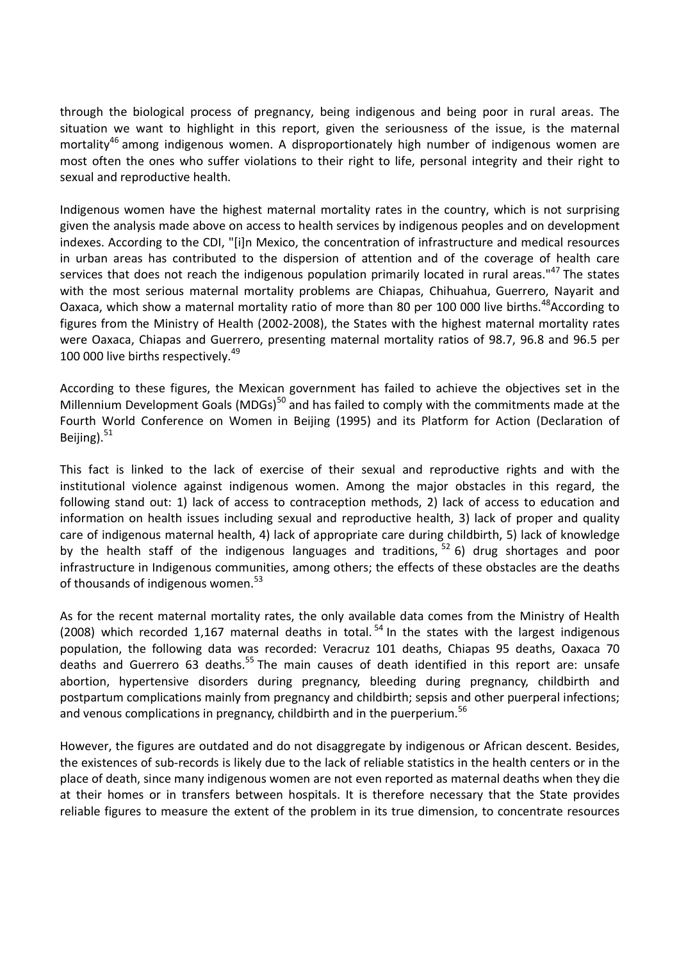through the biological process of pregnancy, being indigenous and being poor in rural areas. The situation we want to highlight in this report, given the seriousness of the issue, is the maternal mortality<sup>46</sup> among indigenous women. A disproportionately high number of indigenous women are most often the ones who suffer violations to their right to life, personal integrity and their right to sexual and reproductive health.

Indigenous women have the highest maternal mortality rates in the country, which is not surprising given the analysis made above on access to health services by indigenous peoples and on development indexes. According to the CDI, "[i]n Mexico, the concentration of infrastructure and medical resources in urban areas has contributed to the dispersion of attention and of the coverage of health care services that does not reach the indigenous population primarily located in rural areas."<sup>47</sup> The states with the most serious maternal mortality problems are Chiapas, Chihuahua, Guerrero, Nayarit and Oaxaca, which show a maternal mortality ratio of more than 80 per 100 000 live births.<sup>48</sup>According to figures from the Ministry of Health (2002-2008), the States with the highest maternal mortality rates were Oaxaca, Chiapas and Guerrero, presenting maternal mortality ratios of 98.7, 96.8 and 96.5 per 100 000 live births respectively.<sup>49</sup>

According to these figures, the Mexican government has failed to achieve the objectives set in the Millennium Development Goals (MDGs)<sup>50</sup> and has failed to comply with the commitments made at the Fourth World Conference on Women in Beijing (1995) and its Platform for Action (Declaration of Beijing). $51$ 

This fact is linked to the lack of exercise of their sexual and reproductive rights and with the institutional violence against indigenous women. Among the major obstacles in this regard, the following stand out: 1) lack of access to contraception methods, 2) lack of access to education and information on health issues including sexual and reproductive health, 3) lack of proper and quality care of indigenous maternal health, 4) lack of appropriate care during childbirth, 5) lack of knowledge by the health staff of the indigenous languages and traditions,  $52$  6) drug shortages and poor infrastructure in Indigenous communities, among others; the effects of these obstacles are the deaths of thousands of indigenous women. $53$ 

As for the recent maternal mortality rates, the only available data comes from the Ministry of Health (2008) which recorded 1,167 maternal deaths in total.<sup>54</sup> In the states with the largest indigenous population, the following data was recorded: Veracruz 101 deaths, Chiapas 95 deaths, Oaxaca 70 deaths and Guerrero 63 deaths.<sup>55</sup> The main causes of death identified in this report are: unsafe abortion, hypertensive disorders during pregnancy, bleeding during pregnancy, childbirth and postpartum complications mainly from pregnancy and childbirth; sepsis and other puerperal infections; and venous complications in pregnancy, childbirth and in the puerperium.<sup>56</sup>

However, the figures are outdated and do not disaggregate by indigenous or African descent. Besides, the existences of sub-records is likely due to the lack of reliable statistics in the health centers or in the place of death, since many indigenous women are not even reported as maternal deaths when they die at their homes or in transfers between hospitals. It is therefore necessary that the State provides reliable figures to measure the extent of the problem in its true dimension, to concentrate resources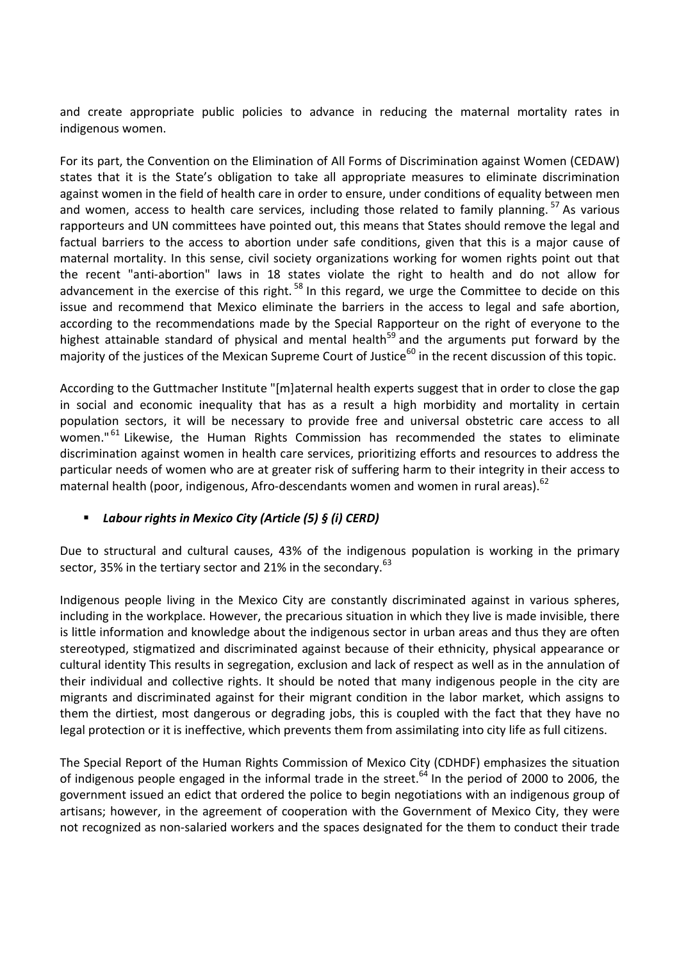and create appropriate public policies to advance in reducing the maternal mortality rates in indigenous women.

For its part, the Convention on the Elimination of All Forms of Discrimination against Women (CEDAW) states that it is the State's obligation to take all appropriate measures to eliminate discrimination against women in the field of health care in order to ensure, under conditions of equality between men and women, access to health care services, including those related to family planning.<sup>57</sup> As various rapporteurs and UN committees have pointed out, this means that States should remove the legal and factual barriers to the access to abortion under safe conditions, given that this is a major cause of maternal mortality. In this sense, civil society organizations working for women rights point out that the recent "anti-abortion" laws in 18 states violate the right to health and do not allow for advancement in the exercise of this right.<sup>58</sup> In this regard, we urge the Committee to decide on this issue and recommend that Mexico eliminate the barriers in the access to legal and safe abortion, according to the recommendations made by the Special Rapporteur on the right of everyone to the highest attainable standard of physical and mental health<sup>59</sup> and the arguments put forward by the majority of the justices of the Mexican Supreme Court of Justice<sup>60</sup> in the recent discussion of this topic.

According to the Guttmacher Institute "[m]aternal health experts suggest that in order to close the gap in social and economic inequality that has as a result a high morbidity and mortality in certain population sectors, it will be necessary to provide free and universal obstetric care access to all women."<sup>61</sup> Likewise, the Human Rights Commission has recommended the states to eliminate discrimination against women in health care services, prioritizing efforts and resources to address the particular needs of women who are at greater risk of suffering harm to their integrity in their access to maternal health (poor, indigenous, Afro-descendants women and women in rural areas).<sup>62</sup>

# *Labour rights in Mexico City (Article (5) § (i) CERD)*

Due to structural and cultural causes, 43% of the indigenous population is working in the primary sector, 35% in the tertiary sector and 21% in the secondary.<sup>63</sup>

Indigenous people living in the Mexico City are constantly discriminated against in various spheres, including in the workplace. However, the precarious situation in which they live is made invisible, there is little information and knowledge about the indigenous sector in urban areas and thus they are often stereotyped, stigmatized and discriminated against because of their ethnicity, physical appearance or cultural identity This results in segregation, exclusion and lack of respect as well as in the annulation of their individual and collective rights. It should be noted that many indigenous people in the city are migrants and discriminated against for their migrant condition in the labor market, which assigns to them the dirtiest, most dangerous or degrading jobs, this is coupled with the fact that they have no legal protection or it is ineffective, which prevents them from assimilating into city life as full citizens.

The Special Report of the Human Rights Commission of Mexico City (CDHDF) emphasizes the situation of indigenous people engaged in the informal trade in the street.<sup>64</sup> In the period of 2000 to 2006, the government issued an edict that ordered the police to begin negotiations with an indigenous group of artisans; however, in the agreement of cooperation with the Government of Mexico City, they were not recognized as non-salaried workers and the spaces designated for the them to conduct their trade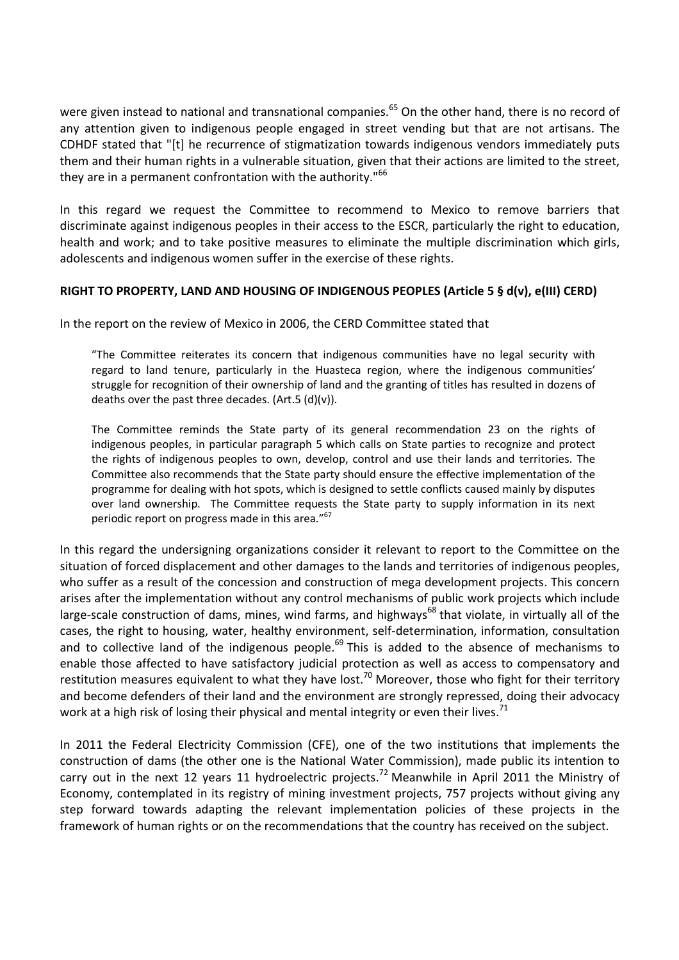were given instead to national and transnational companies.<sup>65</sup> On the other hand, there is no record of any attention given to indigenous people engaged in street vending but that are not artisans. The CDHDF stated that "[t] he recurrence of stigmatization towards indigenous vendors immediately puts them and their human rights in a vulnerable situation, given that their actions are limited to the street, they are in a permanent confrontation with the authority."<sup>66</sup>

In this regard we request the Committee to recommend to Mexico to remove barriers that discriminate against indigenous peoples in their access to the ESCR, particularly the right to education, health and work; and to take positive measures to eliminate the multiple discrimination which girls, adolescents and indigenous women suffer in the exercise of these rights.

### **RIGHT TO PROPERTY, LAND AND HOUSING OF INDIGENOUS PEOPLES (Article 5 § d(v), e(III) CERD)**

In the report on the review of Mexico in 2006, the CERD Committee stated that

"The Committee reiterates its concern that indigenous communities have no legal security with regard to land tenure, particularly in the Huasteca region, where the indigenous communities' struggle for recognition of their ownership of land and the granting of titles has resulted in dozens of deaths over the past three decades. (Art.5  $(d)(v)$ ).

The Committee reminds the State party of its general recommendation 23 on the rights of indigenous peoples, in particular paragraph 5 which calls on State parties to recognize and protect the rights of indigenous peoples to own, develop, control and use their lands and territories. The Committee also recommends that the State party should ensure the effective implementation of the programme for dealing with hot spots, which is designed to settle conflicts caused mainly by disputes over land ownership. The Committee requests the State party to supply information in its next periodic report on progress made in this area."<sup>67</sup>

In this regard the undersigning organizations consider it relevant to report to the Committee on the situation of forced displacement and other damages to the lands and territories of indigenous peoples, who suffer as a result of the concession and construction of mega development projects. This concern arises after the implementation without any control mechanisms of public work projects which include large-scale construction of dams, mines, wind farms, and highways<sup>68</sup> that violate, in virtually all of the cases, the right to housing, water, healthy environment, self-determination, information, consultation and to collective land of the indigenous people.<sup>69</sup> This is added to the absence of mechanisms to enable those affected to have satisfactory judicial protection as well as access to compensatory and restitution measures equivalent to what they have lost.<sup>70</sup> Moreover, those who fight for their territory and become defenders of their land and the environment are strongly repressed, doing their advocacy work at a high risk of losing their physical and mental integrity or even their lives.<sup>71</sup>

In 2011 the Federal Electricity Commission (CFE), one of the two institutions that implements the construction of dams (the other one is the National Water Commission), made public its intention to carry out in the next 12 years 11 hydroelectric projects.<sup>72</sup> Meanwhile in April 2011 the Ministry of Economy, contemplated in its registry of mining investment projects, 757 projects without giving any step forward towards adapting the relevant implementation policies of these projects in the framework of human rights or on the recommendations that the country has received on the subject.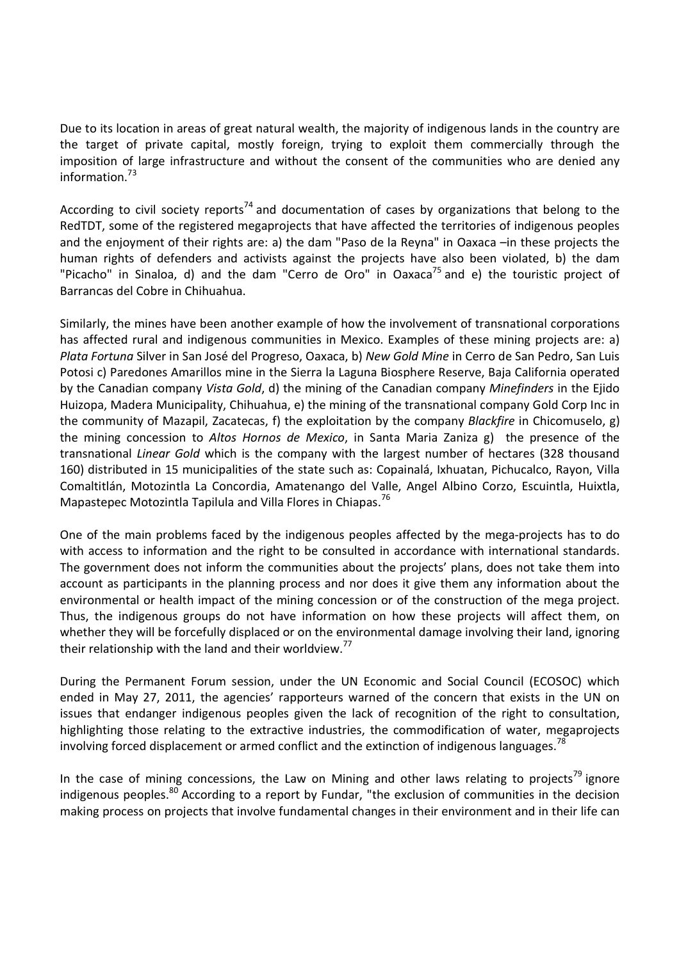Due to its location in areas of great natural wealth, the majority of indigenous lands in the country are the target of private capital, mostly foreign, trying to exploit them commercially through the imposition of large infrastructure and without the consent of the communities who are denied any information $^{73}$ 

According to civil society reports<sup>74</sup> and documentation of cases by organizations that belong to the RedTDT, some of the registered megaprojects that have affected the territories of indigenous peoples and the enjoyment of their rights are: a) the dam "Paso de la Reyna" in Oaxaca –in these projects the human rights of defenders and activists against the projects have also been violated, b) the dam "Picacho" in Sinaloa, d) and the dam "Cerro de Oro" in Oaxaca<sup>75</sup> and e) the touristic project of Barrancas del Cobre in Chihuahua.

Similarly, the mines have been another example of how the involvement of transnational corporations has affected rural and indigenous communities in Mexico. Examples of these mining projects are: a) *Plata Fortuna* Silver in San José del Progreso, Oaxaca, b) *New Gold Mine* in Cerro de San Pedro, San Luis Potosi c) Paredones Amarillos mine in the Sierra la Laguna Biosphere Reserve, Baja California operated by the Canadian company *Vista Gold*, d) the mining of the Canadian company *Minefinders* in the Ejido Huizopa, Madera Municipality, Chihuahua, e) the mining of the transnational company Gold Corp Inc in the community of Mazapil, Zacatecas, f) the exploitation by the company *Blackfire* in Chicomuselo, g) the mining concession to *Altos Hornos de Mexico*, in Santa Maria Zaniza g) the presence of the transnational *Linear Gold* which is the company with the largest number of hectares (328 thousand 160) distributed in 15 municipalities of the state such as: Copainalá, Ixhuatan, Pichucalco, Rayon, Villa Comaltitlán, Motozintla La Concordia, Amatenango del Valle, Angel Albino Corzo, Escuintla, Huixtla, Mapastepec Motozintla Tapilula and Villa Flores in Chiapas.<sup>76</sup>

One of the main problems faced by the indigenous peoples affected by the mega-projects has to do with access to information and the right to be consulted in accordance with international standards. The government does not inform the communities about the projects' plans, does not take them into account as participants in the planning process and nor does it give them any information about the environmental or health impact of the mining concession or of the construction of the mega project. Thus, the indigenous groups do not have information on how these projects will affect them, on whether they will be forcefully displaced or on the environmental damage involving their land, ignoring their relationship with the land and their worldview.<sup>17</sup>

During the Permanent Forum session, under the UN Economic and Social Council (ECOSOC) which ended in May 27, 2011, the agencies' rapporteurs warned of the concern that exists in the UN on issues that endanger indigenous peoples given the lack of recognition of the right to consultation, highlighting those relating to the extractive industries, the commodification of water, megaprojects involving forced displacement or armed conflict and the extinction of indigenous languages.<sup>78</sup>

In the case of mining concessions, the Law on Mining and other laws relating to projects<sup>79</sup> ignore indigenous peoples.<sup>80</sup> According to a report by Fundar, "the exclusion of communities in the decision making process on projects that involve fundamental changes in their environment and in their life can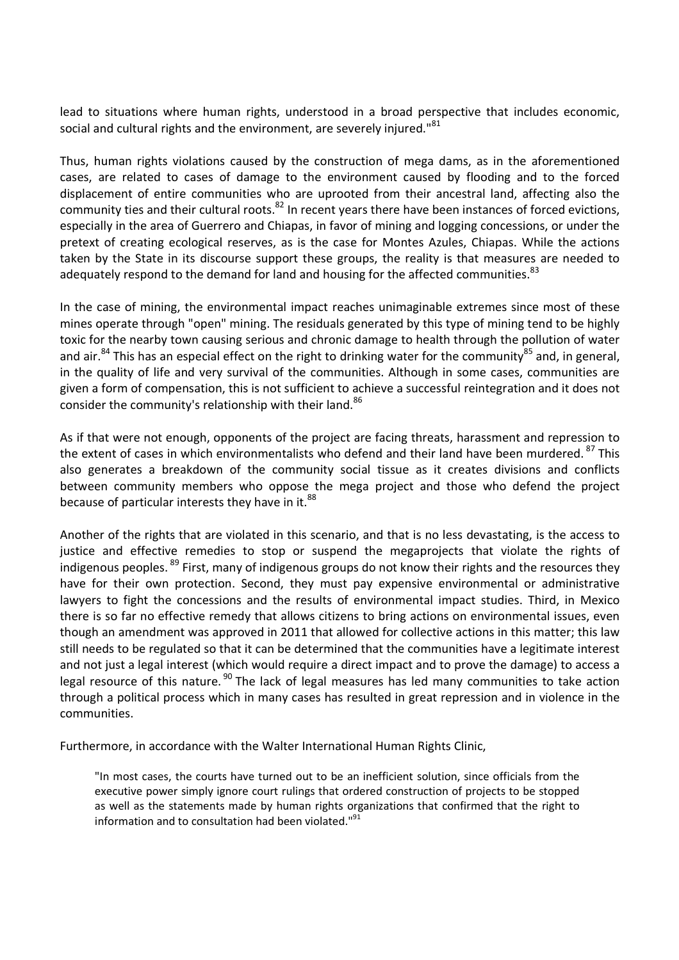lead to situations where human rights, understood in a broad perspective that includes economic, social and cultural rights and the environment, are severely injured."<sup>81</sup>

Thus, human rights violations caused by the construction of mega dams, as in the aforementioned cases, are related to cases of damage to the environment caused by flooding and to the forced displacement of entire communities who are uprooted from their ancestral land, affecting also the community ties and their cultural roots.<sup>82</sup> In recent years there have been instances of forced evictions, especially in the area of Guerrero and Chiapas, in favor of mining and logging concessions, or under the pretext of creating ecological reserves, as is the case for Montes Azules, Chiapas. While the actions taken by the State in its discourse support these groups, the reality is that measures are needed to adequately respond to the demand for land and housing for the affected communities.<sup>83</sup>

In the case of mining, the environmental impact reaches unimaginable extremes since most of these mines operate through "open" mining. The residuals generated by this type of mining tend to be highly toxic for the nearby town causing serious and chronic damage to health through the pollution of water and air.<sup>84</sup> This has an especial effect on the right to drinking water for the community<sup>85</sup> and, in general, in the quality of life and very survival of the communities. Although in some cases, communities are given a form of compensation, this is not sufficient to achieve a successful reintegration and it does not consider the community's relationship with their land.<sup>86</sup>

As if that were not enough, opponents of the project are facing threats, harassment and repression to the extent of cases in which environmentalists who defend and their land have been murdered.<sup>87</sup> This also generates a breakdown of the community social tissue as it creates divisions and conflicts between community members who oppose the mega project and those who defend the project because of particular interests they have in it. $^{88}$ 

Another of the rights that are violated in this scenario, and that is no less devastating, is the access to justice and effective remedies to stop or suspend the megaprojects that violate the rights of indigenous peoples.<sup>89</sup> First, many of indigenous groups do not know their rights and the resources they have for their own protection. Second, they must pay expensive environmental or administrative lawyers to fight the concessions and the results of environmental impact studies. Third, in Mexico there is so far no effective remedy that allows citizens to bring actions on environmental issues, even though an amendment was approved in 2011 that allowed for collective actions in this matter; this law still needs to be regulated so that it can be determined that the communities have a legitimate interest and not just a legal interest (which would require a direct impact and to prove the damage) to access a legal resource of this nature.<sup>90</sup> The lack of legal measures has led many communities to take action through a political process which in many cases has resulted in great repression and in violence in the communities.

Furthermore, in accordance with the Walter International Human Rights Clinic,

"In most cases, the courts have turned out to be an inefficient solution, since officials from the executive power simply ignore court rulings that ordered construction of projects to be stopped as well as the statements made by human rights organizations that confirmed that the right to information and to consultation had been violated."<sup>91</sup>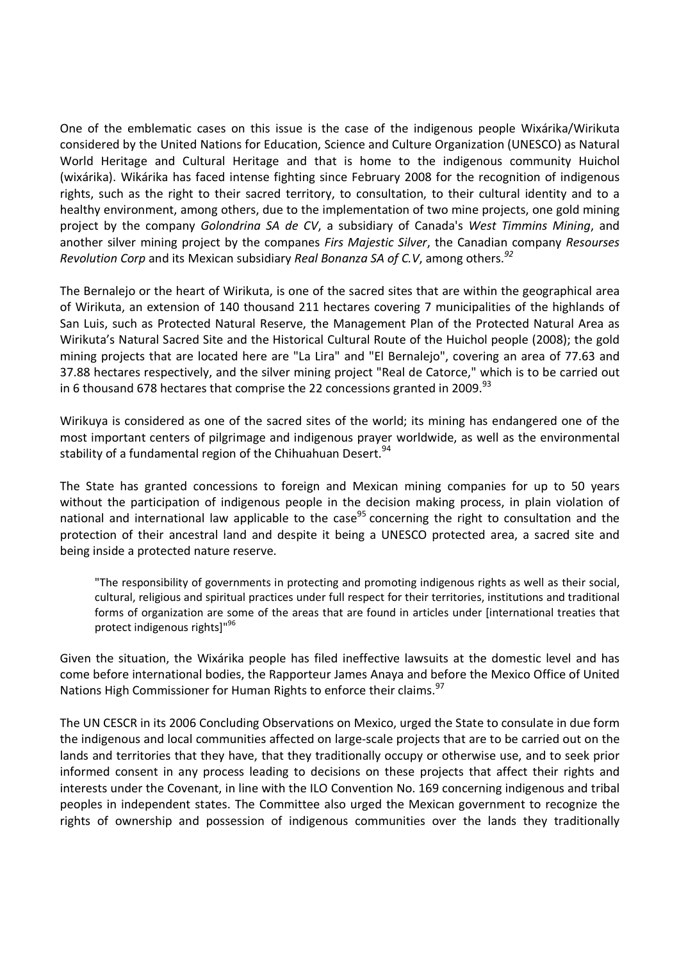One of the emblematic cases on this issue is the case of the indigenous people Wixárika/Wirikuta considered by the United Nations for Education, Science and Culture Organization (UNESCO) as Natural World Heritage and Cultural Heritage and that is home to the indigenous community Huichol (wixárika). Wikárika has faced intense fighting since February 2008 for the recognition of indigenous rights, such as the right to their sacred territory, to consultation, to their cultural identity and to a healthy environment, among others, due to the implementation of two mine projects, one gold mining project by the company *Golondrina SA de CV*, a subsidiary of Canada's *West Timmins Mining*, and another silver mining project by the companes *Firs Majestic Silver*, the Canadian company *Resourses Revolution Corp* and its Mexican subsidiary *Real Bonanza SA of C.V*, among others.*<sup>92</sup>*

The Bernalejo or the heart of Wirikuta, is one of the sacred sites that are within the geographical area of Wirikuta, an extension of 140 thousand 211 hectares covering 7 municipalities of the highlands of San Luis, such as Protected Natural Reserve, the Management Plan of the Protected Natural Area as Wirikuta's Natural Sacred Site and the Historical Cultural Route of the Huichol people (2008); the gold mining projects that are located here are "La Lira" and "El Bernalejo", covering an area of 77.63 and 37.88 hectares respectively, and the silver mining project "Real de Catorce," which is to be carried out in 6 thousand 678 hectares that comprise the 22 concessions granted in 2009.<sup>93</sup>

Wirikuya is considered as one of the sacred sites of the world; its mining has endangered one of the most important centers of pilgrimage and indigenous prayer worldwide, as well as the environmental stability of a fundamental region of the Chihuahuan Desert.<sup>94</sup>

The State has granted concessions to foreign and Mexican mining companies for up to 50 years without the participation of indigenous people in the decision making process, in plain violation of national and international law applicable to the case<sup>95</sup> concerning the right to consultation and the protection of their ancestral land and despite it being a UNESCO protected area, a sacred site and being inside a protected nature reserve.

"The responsibility of governments in protecting and promoting indigenous rights as well as their social, cultural, religious and spiritual practices under full respect for their territories, institutions and traditional forms of organization are some of the areas that are found in articles under [international treaties that protect indigenous rights]"<sup>96</sup>

Given the situation, the Wixárika people has filed ineffective lawsuits at the domestic level and has come before international bodies, the Rapporteur James Anaya and before the Mexico Office of United Nations High Commissioner for Human Rights to enforce their claims.<sup>97</sup>

The UN CESCR in its 2006 Concluding Observations on Mexico, urged the State to consulate in due form the indigenous and local communities affected on large-scale projects that are to be carried out on the lands and territories that they have, that they traditionally occupy or otherwise use, and to seek prior informed consent in any process leading to decisions on these projects that affect their rights and interests under the Covenant, in line with the ILO Convention No. 169 concerning indigenous and tribal peoples in independent states. The Committee also urged the Mexican government to recognize the rights of ownership and possession of indigenous communities over the lands they traditionally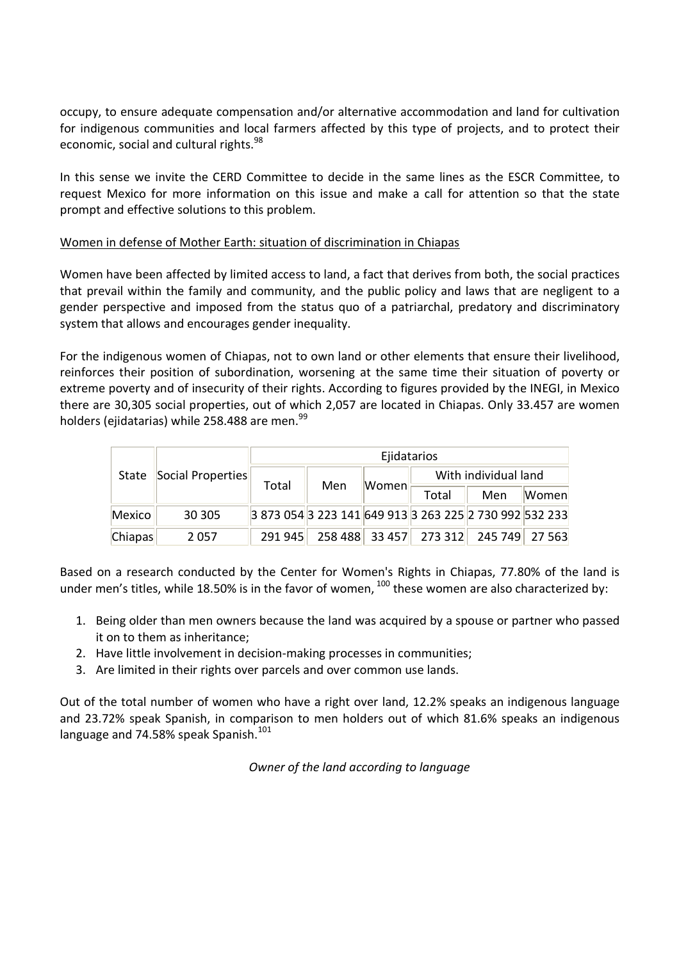occupy, to ensure adequate compensation and/or alternative accommodation and land for cultivation for indigenous communities and local farmers affected by this type of projects, and to protect their economic, social and cultural rights.<sup>98</sup>

In this sense we invite the CERD Committee to decide in the same lines as the ESCR Committee, to request Mexico for more information on this issue and make a call for attention so that the state prompt and effective solutions to this problem.

### Women in defense of Mother Earth: situation of discrimination in Chiapas

Women have been affected by limited access to land, a fact that derives from both, the social practices that prevail within the family and community, and the public policy and laws that are negligent to a gender perspective and imposed from the status quo of a patriarchal, predatory and discriminatory system that allows and encourages gender inequality.

For the indigenous women of Chiapas, not to own land or other elements that ensure their livelihood, reinforces their position of subordination, worsening at the same time their situation of poverty or extreme poverty and of insecurity of their rights. According to figures provided by the INEGI, in Mexico there are 30,305 social properties, out of which 2,057 are located in Chiapas. Only 33.457 are women holders (ejidatarias) while 258.488 are men.<sup>99</sup>

| State   | Social Properties | Ejidatarios                              |     |       |                                       |     |              |
|---------|-------------------|------------------------------------------|-----|-------|---------------------------------------|-----|--------------|
|         |                   | Total                                    | Men | Women | With individual land                  |     |              |
|         |                   |                                          |     |       | Total                                 | Men | <b>Women</b> |
| Mexico  | 30 30 5           | 3873054322314164991332632252730992532233 |     |       |                                       |     |              |
| Chiapas | 2057              | 291 945                                  |     |       | 258 488 33 457 273 312 245 749 27 563 |     |              |

Based on a research conducted by the Center for Women's Rights in Chiapas, 77.80% of the land is under men's titles, while 18.50% is in the favor of women.<sup>100</sup> these women are also characterized by:

- 1. Being older than men owners because the land was acquired by a spouse or partner who passed it on to them as inheritance;
- 2. Have little involvement in decision-making processes in communities;
- 3. Are limited in their rights over parcels and over common use lands.

Out of the total number of women who have a right over land, 12.2% speaks an indigenous language and 23.72% speak Spanish, in comparison to men holders out of which 81.6% speaks an indigenous language and 74.58% speak Spanish.<sup>101</sup>

*Owner of the land according to language*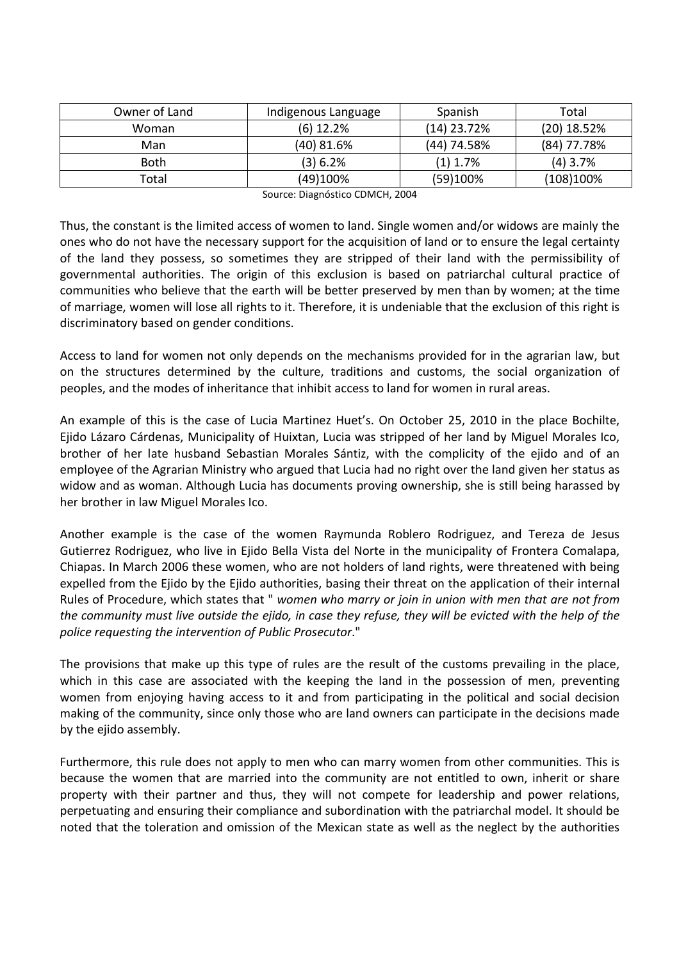| Owner of Land | Indigenous Language | Spanish       | Total         |
|---------------|---------------------|---------------|---------------|
| Woman         | $(6)$ 12.2%         | $(14)$ 23.72% | $(20)$ 18.52% |
| Man           | (40) 81.6%          | (44) 74.58%   | $(84)$ 77.78% |
| <b>Both</b>   | (3) 6.2%            | $(1)$ 1.7%    | $(4)$ 3.7%    |
| Total         | (49)100%            | (59)100%      | (108)100%     |

Source: Diagnóstico CDMCH, 2004

Thus, the constant is the limited access of women to land. Single women and/or widows are mainly the ones who do not have the necessary support for the acquisition of land or to ensure the legal certainty of the land they possess, so sometimes they are stripped of their land with the permissibility of governmental authorities. The origin of this exclusion is based on patriarchal cultural practice of communities who believe that the earth will be better preserved by men than by women; at the time of marriage, women will lose all rights to it. Therefore, it is undeniable that the exclusion of this right is discriminatory based on gender conditions.

Access to land for women not only depends on the mechanisms provided for in the agrarian law, but on the structures determined by the culture, traditions and customs, the social organization of peoples, and the modes of inheritance that inhibit access to land for women in rural areas.

An example of this is the case of Lucia Martinez Huet's. On October 25, 2010 in the place Bochilte, Ejido Lázaro Cárdenas, Municipality of Huixtan, Lucia was stripped of her land by Miguel Morales Ico, brother of her late husband Sebastian Morales Sántiz, with the complicity of the ejido and of an employee of the Agrarian Ministry who argued that Lucia had no right over the land given her status as widow and as woman. Although Lucia has documents proving ownership, she is still being harassed by her brother in law Miguel Morales Ico.

Another example is the case of the women Raymunda Roblero Rodriguez, and Tereza de Jesus Gutierrez Rodriguez, who live in Ejido Bella Vista del Norte in the municipality of Frontera Comalapa, Chiapas. In March 2006 these women, who are not holders of land rights, were threatened with being expelled from the Ejido by the Ejido authorities, basing their threat on the application of their internal Rules of Procedure, which states that " *women who marry or join in union with men that are not from the community must live outside the ejido, in case they refuse, they will be evicted with the help of the police requesting the intervention of Public Prosecutor*."

The provisions that make up this type of rules are the result of the customs prevailing in the place, which in this case are associated with the keeping the land in the possession of men, preventing women from enjoying having access to it and from participating in the political and social decision making of the community, since only those who are land owners can participate in the decisions made by the ejido assembly.

Furthermore, this rule does not apply to men who can marry women from other communities. This is because the women that are married into the community are not entitled to own, inherit or share property with their partner and thus, they will not compete for leadership and power relations, perpetuating and ensuring their compliance and subordination with the patriarchal model. It should be noted that the toleration and omission of the Mexican state as well as the neglect by the authorities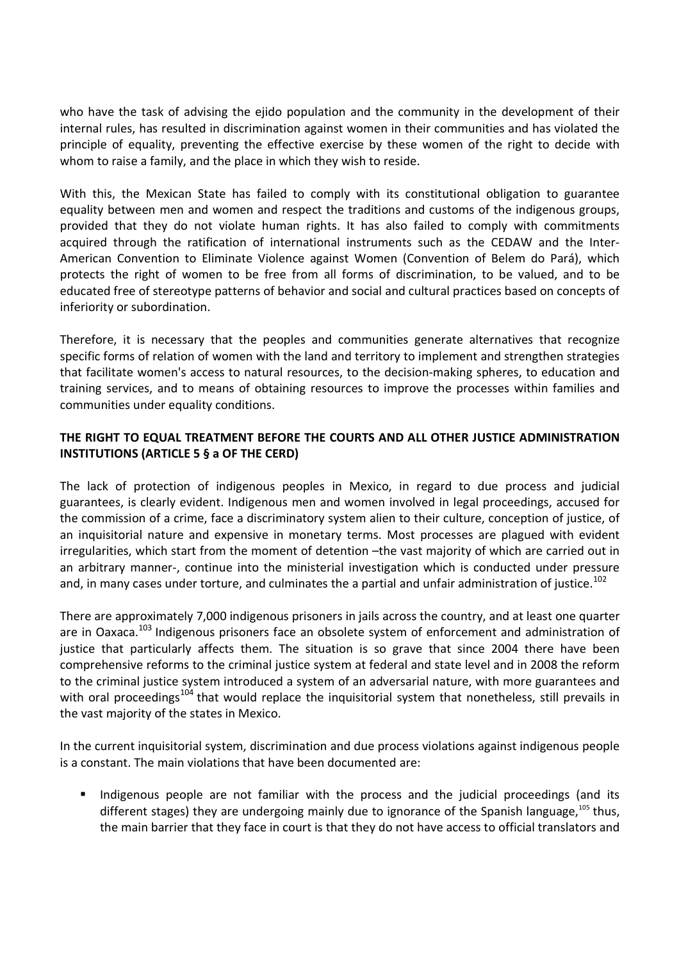who have the task of advising the ejido population and the community in the development of their internal rules, has resulted in discrimination against women in their communities and has violated the principle of equality, preventing the effective exercise by these women of the right to decide with whom to raise a family, and the place in which they wish to reside.

With this, the Mexican State has failed to comply with its constitutional obligation to guarantee equality between men and women and respect the traditions and customs of the indigenous groups, provided that they do not violate human rights. It has also failed to comply with commitments acquired through the ratification of international instruments such as the CEDAW and the Inter-American Convention to Eliminate Violence against Women (Convention of Belem do Pará), which protects the right of women to be free from all forms of discrimination, to be valued, and to be educated free of stereotype patterns of behavior and social and cultural practices based on concepts of inferiority or subordination.

Therefore, it is necessary that the peoples and communities generate alternatives that recognize specific forms of relation of women with the land and territory to implement and strengthen strategies that facilitate women's access to natural resources, to the decision-making spheres, to education and training services, and to means of obtaining resources to improve the processes within families and communities under equality conditions.

# **THE RIGHT TO EQUAL TREATMENT BEFORE THE COURTS AND ALL OTHER JUSTICE ADMINISTRATION INSTITUTIONS (ARTICLE 5 § a OF THE CERD)**

The lack of protection of indigenous peoples in Mexico, in regard to due process and judicial guarantees, is clearly evident. Indigenous men and women involved in legal proceedings, accused for the commission of a crime, face a discriminatory system alien to their culture, conception of justice, of an inquisitorial nature and expensive in monetary terms. Most processes are plagued with evident irregularities, which start from the moment of detention –the vast majority of which are carried out in an arbitrary manner-, continue into the ministerial investigation which is conducted under pressure and, in many cases under torture, and culminates the a partial and unfair administration of justice.<sup>102</sup>

There are approximately 7,000 indigenous prisoners in jails across the country, and at least one quarter are in Oaxaca.<sup>103</sup> Indigenous prisoners face an obsolete system of enforcement and administration of justice that particularly affects them. The situation is so grave that since 2004 there have been comprehensive reforms to the criminal justice system at federal and state level and in 2008 the reform to the criminal justice system introduced a system of an adversarial nature, with more guarantees and with oral proceedings<sup>104</sup> that would replace the inquisitorial system that nonetheless, still prevails in the vast majority of the states in Mexico.

In the current inquisitorial system, discrimination and due process violations against indigenous people is a constant. The main violations that have been documented are:

 Indigenous people are not familiar with the process and the judicial proceedings (and its different stages) they are undergoing mainly due to ignorance of the Spanish language,  $105$  thus, the main barrier that they face in court is that they do not have access to official translators and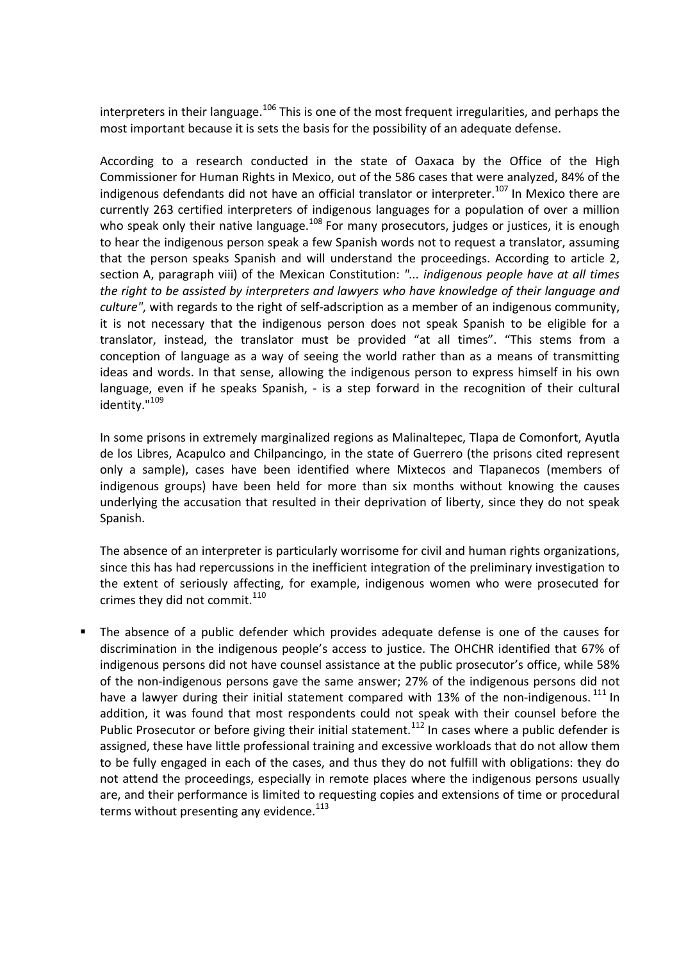interpreters in their language.<sup>106</sup> This is one of the most frequent irregularities, and perhaps the most important because it is sets the basis for the possibility of an adequate defense.

According to a research conducted in the state of Oaxaca by the Office of the High Commissioner for Human Rights in Mexico, out of the 586 cases that were analyzed, 84% of the indigenous defendants did not have an official translator or interpreter.<sup>107</sup> In Mexico there are currently 263 certified interpreters of indigenous languages for a population of over a million who speak only their native language.<sup>108</sup> For many prosecutors, judges or justices, it is enough to hear the indigenous person speak a few Spanish words not to request a translator, assuming that the person speaks Spanish and will understand the proceedings. According to article 2, section A, paragraph viii) of the Mexican Constitution: *"... indigenous people have at all times the right to be assisted by interpreters and lawyers who have knowledge of their language and culture"*, with regards to the right of self-adscription as a member of an indigenous community, it is not necessary that the indigenous person does not speak Spanish to be eligible for a translator, instead, the translator must be provided "at all times". "This stems from a conception of language as a way of seeing the world rather than as a means of transmitting ideas and words. In that sense, allowing the indigenous person to express himself in his own language, even if he speaks Spanish, - is a step forward in the recognition of their cultural identity."<sup>109</sup>

In some prisons in extremely marginalized regions as Malinaltepec, Tlapa de Comonfort, Ayutla de los Libres, Acapulco and Chilpancingo, in the state of Guerrero (the prisons cited represent only a sample), cases have been identified where Mixtecos and Tlapanecos (members of indigenous groups) have been held for more than six months without knowing the causes underlying the accusation that resulted in their deprivation of liberty, since they do not speak Spanish.

The absence of an interpreter is particularly worrisome for civil and human rights organizations, since this has had repercussions in the inefficient integration of the preliminary investigation to the extent of seriously affecting, for example, indigenous women who were prosecuted for crimes they did not commit. $110$ 

 The absence of a public defender which provides adequate defense is one of the causes for discrimination in the indigenous people's access to justice. The OHCHR identified that 67% of indigenous persons did not have counsel assistance at the public prosecutor's office, while 58% of the non-indigenous persons gave the same answer; 27% of the indigenous persons did not have a lawyer during their initial statement compared with 13% of the non-indigenous.<sup>111</sup> In addition, it was found that most respondents could not speak with their counsel before the Public Prosecutor or before giving their initial statement.<sup>112</sup> In cases where a public defender is assigned, these have little professional training and excessive workloads that do not allow them to be fully engaged in each of the cases, and thus they do not fulfill with obligations: they do not attend the proceedings, especially in remote places where the indigenous persons usually are, and their performance is limited to requesting copies and extensions of time or procedural terms without presenting any evidence.<sup>113</sup>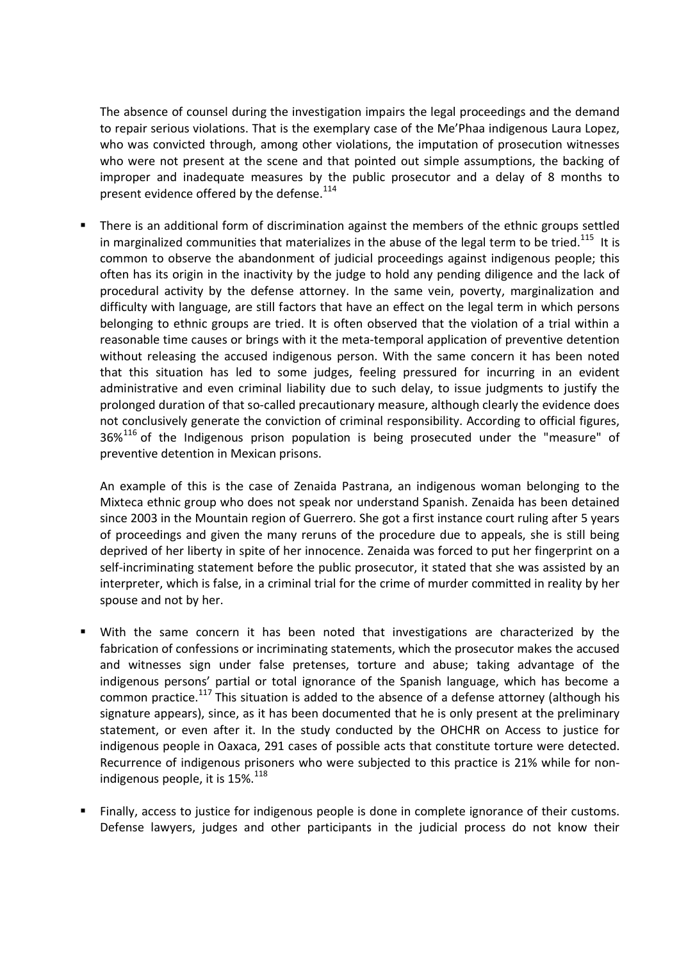The absence of counsel during the investigation impairs the legal proceedings and the demand to repair serious violations. That is the exemplary case of the Me'Phaa indigenous Laura Lopez, who was convicted through, among other violations, the imputation of prosecution witnesses who were not present at the scene and that pointed out simple assumptions, the backing of improper and inadequate measures by the public prosecutor and a delay of 8 months to present evidence offered by the defense.<sup>114</sup>

 There is an additional form of discrimination against the members of the ethnic groups settled in marginalized communities that materializes in the abuse of the legal term to be tried.<sup>115</sup> It is common to observe the abandonment of judicial proceedings against indigenous people; this often has its origin in the inactivity by the judge to hold any pending diligence and the lack of procedural activity by the defense attorney. In the same vein, poverty, marginalization and difficulty with language, are still factors that have an effect on the legal term in which persons belonging to ethnic groups are tried. It is often observed that the violation of a trial within a reasonable time causes or brings with it the meta-temporal application of preventive detention without releasing the accused indigenous person. With the same concern it has been noted that this situation has led to some judges, feeling pressured for incurring in an evident administrative and even criminal liability due to such delay, to issue judgments to justify the prolonged duration of that so-called precautionary measure, although clearly the evidence does not conclusively generate the conviction of criminal responsibility. According to official figures,  $36\%$ <sup>116</sup> of the Indigenous prison population is being prosecuted under the "measure" of preventive detention in Mexican prisons.

An example of this is the case of Zenaida Pastrana, an indigenous woman belonging to the Mixteca ethnic group who does not speak nor understand Spanish. Zenaida has been detained since 2003 in the Mountain region of Guerrero. She got a first instance court ruling after 5 years of proceedings and given the many reruns of the procedure due to appeals, she is still being deprived of her liberty in spite of her innocence. Zenaida was forced to put her fingerprint on a self-incriminating statement before the public prosecutor, it stated that she was assisted by an interpreter, which is false, in a criminal trial for the crime of murder committed in reality by her spouse and not by her.

- With the same concern it has been noted that investigations are characterized by the fabrication of confessions or incriminating statements, which the prosecutor makes the accused and witnesses sign under false pretenses, torture and abuse; taking advantage of the indigenous persons' partial or total ignorance of the Spanish language, which has become a common practice.<sup>117</sup> This situation is added to the absence of a defense attorney (although his signature appears), since, as it has been documented that he is only present at the preliminary statement, or even after it. In the study conducted by the OHCHR on Access to justice for indigenous people in Oaxaca, 291 cases of possible acts that constitute torture were detected. Recurrence of indigenous prisoners who were subjected to this practice is 21% while for nonindigenous people, it is  $15\%$ <sup>118</sup>
- Finally, access to justice for indigenous people is done in complete ignorance of their customs. Defense lawyers, judges and other participants in the judicial process do not know their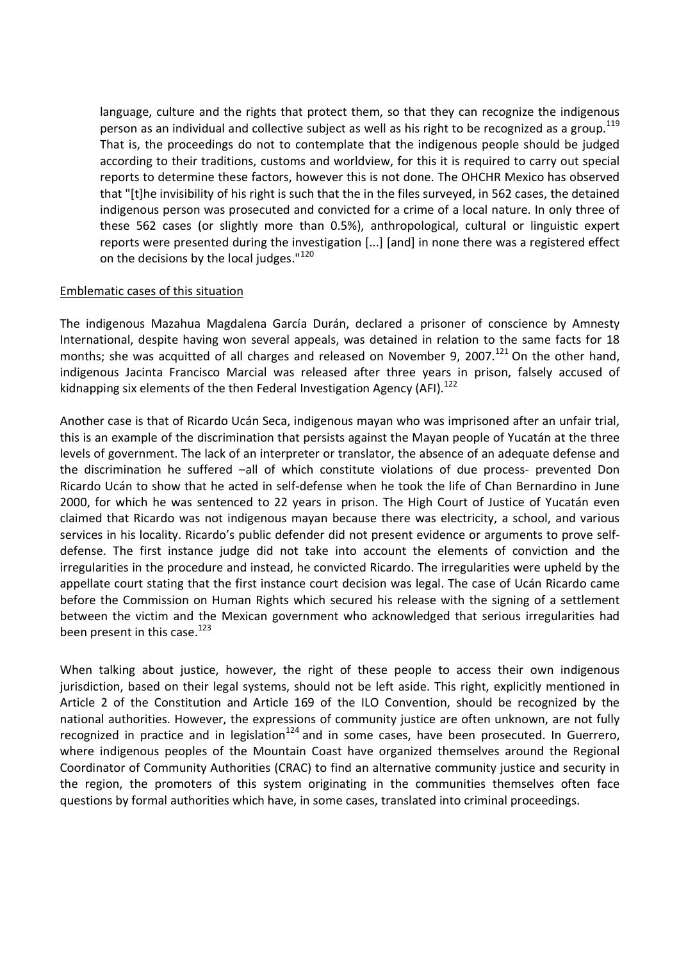language, culture and the rights that protect them, so that they can recognize the indigenous person as an individual and collective subject as well as his right to be recognized as a group.<sup>119</sup> That is, the proceedings do not to contemplate that the indigenous people should be judged according to their traditions, customs and worldview, for this it is required to carry out special reports to determine these factors, however this is not done. The OHCHR Mexico has observed that "[t]he invisibility of his right is such that the in the files surveyed, in 562 cases, the detained indigenous person was prosecuted and convicted for a crime of a local nature. In only three of these 562 cases (or slightly more than 0.5%), anthropological, cultural or linguistic expert reports were presented during the investigation [...] [and] in none there was a registered effect on the decisions by the local judges."<sup>120</sup>

### Emblematic cases of this situation

The indigenous Mazahua Magdalena García Durán, declared a prisoner of conscience by Amnesty International, despite having won several appeals, was detained in relation to the same facts for 18 months; she was acquitted of all charges and released on November 9, 2007.<sup>121</sup> On the other hand. indigenous Jacinta Francisco Marcial was released after three years in prison, falsely accused of kidnapping six elements of the then Federal Investigation Agency (AFI).<sup>122</sup>

Another case is that of Ricardo Ucán Seca, indigenous mayan who was imprisoned after an unfair trial, this is an example of the discrimination that persists against the Mayan people of Yucatán at the three levels of government. The lack of an interpreter or translator, the absence of an adequate defense and the discrimination he suffered –all of which constitute violations of due process- prevented Don Ricardo Ucán to show that he acted in self-defense when he took the life of Chan Bernardino in June 2000, for which he was sentenced to 22 years in prison. The High Court of Justice of Yucatán even claimed that Ricardo was not indigenous mayan because there was electricity, a school, and various services in his locality. Ricardo's public defender did not present evidence or arguments to prove selfdefense. The first instance judge did not take into account the elements of conviction and the irregularities in the procedure and instead, he convicted Ricardo. The irregularities were upheld by the appellate court stating that the first instance court decision was legal. The case of Ucán Ricardo came before the Commission on Human Rights which secured his release with the signing of a settlement between the victim and the Mexican government who acknowledged that serious irregularities had been present in this case.<sup>123</sup>

When talking about justice, however, the right of these people to access their own indigenous jurisdiction, based on their legal systems, should not be left aside. This right, explicitly mentioned in Article 2 of the Constitution and Article 169 of the ILO Convention, should be recognized by the national authorities. However, the expressions of community justice are often unknown, are not fully recognized in practice and in legislation<sup>124</sup> and in some cases, have been prosecuted. In Guerrero, where indigenous peoples of the Mountain Coast have organized themselves around the Regional Coordinator of Community Authorities (CRAC) to find an alternative community justice and security in the region, the promoters of this system originating in the communities themselves often face questions by formal authorities which have, in some cases, translated into criminal proceedings.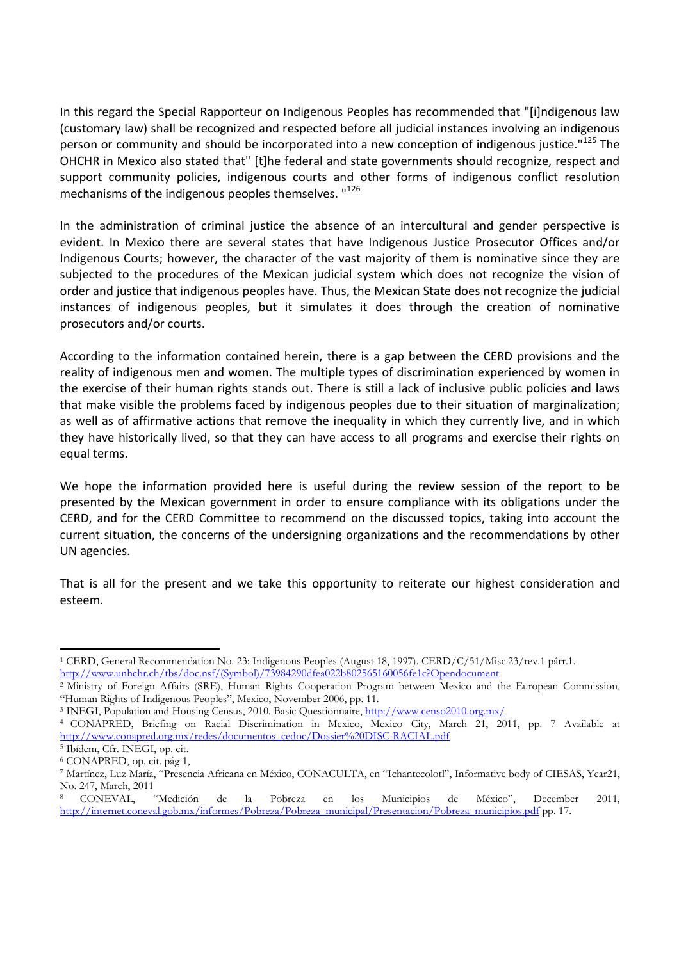In this regard the Special Rapporteur on Indigenous Peoples has recommended that "[i]ndigenous law (customary law) shall be recognized and respected before all judicial instances involving an indigenous person or community and should be incorporated into a new conception of indigenous iustice."<sup>125</sup> The OHCHR in Mexico also stated that" [t]he federal and state governments should recognize, respect and support community policies, indigenous courts and other forms of indigenous conflict resolution mechanisms of the indigenous peoples themselves. "126

In the administration of criminal justice the absence of an intercultural and gender perspective is evident. In Mexico there are several states that have Indigenous Justice Prosecutor Offices and/or Indigenous Courts; however, the character of the vast majority of them is nominative since they are subjected to the procedures of the Mexican judicial system which does not recognize the vision of order and justice that indigenous peoples have. Thus, the Mexican State does not recognize the judicial instances of indigenous peoples, but it simulates it does through the creation of nominative prosecutors and/or courts.

According to the information contained herein, there is a gap between the CERD provisions and the reality of indigenous men and women. The multiple types of discrimination experienced by women in the exercise of their human rights stands out. There is still a lack of inclusive public policies and laws that make visible the problems faced by indigenous peoples due to their situation of marginalization; as well as of affirmative actions that remove the inequality in which they currently live, and in which they have historically lived, so that they can have access to all programs and exercise their rights on equal terms.

We hope the information provided here is useful during the review session of the report to be presented by the Mexican government in order to ensure compliance with its obligations under the CERD, and for the CERD Committee to recommend on the discussed topics, taking into account the current situation, the concerns of the undersigning organizations and the recommendations by other UN agencies.

That is all for the present and we take this opportunity to reiterate our highest consideration and esteem.

 $\overline{a}$ 

<sup>1</sup> CERD, General Recommendation No. 23: Indigenous Peoples (August 18, 1997). CERD/C/51/Misc.23/rev.1 párr.1. http://www.unhchr.ch/tbs/doc.nsf/(Symbol)/73984290dfea022b802565160056fe1c?Opendocument

<sup>2</sup> Ministry of Foreign Affairs (SRE), Human Rights Cooperation Program between Mexico and the European Commission, "Human Rights of Indigenous Peoples", Mexico, November 2006, pp. 11.

<sup>3</sup> INEGI, Population and Housing Census, 2010. Basic Questionnaire, http://www.censo2010.org.mx/

<sup>4</sup> CONAPRED, Briefing on Racial Discrimination in Mexico, Mexico City, March 21, 2011, pp. 7 Available at http://www.conapred.org.mx/redes/documentos\_cedoc/Dossier%20DISC-RACIAL.pdf

<sup>5</sup> Ibídem, Cfr. INEGI, op. cit.

<sup>6</sup> CONAPRED, op. cit. pág 1,

<sup>7</sup> Martínez, Luz María, "Presencia Africana en México, CONACULTA, en "Ichantecolotl", Informative body of CIESAS, Year21,

No. 247, March, 2011<br>8 CONEVAL, "Medición 8 CONEVAL, "Medición de la Pobreza en los Municipios de México", December 2011, http://internet.coneval.gob.mx/informes/Pobreza/Pobreza\_municipal/Presentacion/Pobreza\_municipios.pdf pp. 17.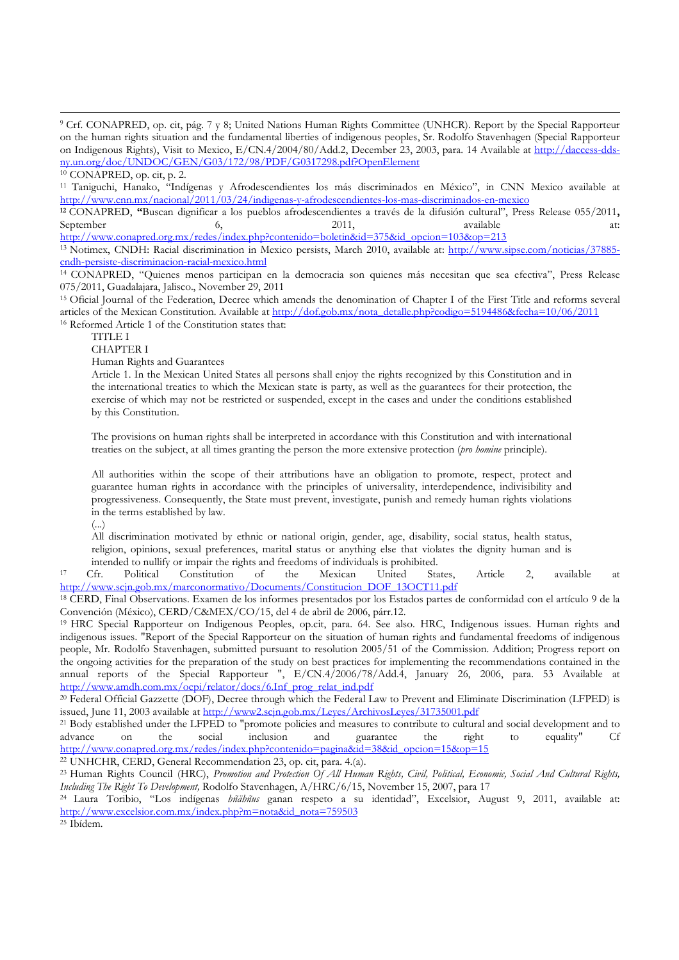l

<sup>11</sup> Taniguchi, Hanako, "Indígenas y Afrodescendientes los más discriminados en México", in CNN Mexico available at http://www.cnn.mx/nacional/2011/03/24/indigenas-y-afrodescendientes-los-mas-discriminados-en-mexico

**<sup>12</sup>** CONAPRED, **"**Buscan dignificar a los pueblos afrodescendientes a través de la difusión cultural", Press Release 055/2011**,**  September 6, 2011, available at: http://www.conapred.org.mx/redes/index.php?contenido=boletin&id=375&id\_opcion=103&op=213

<sup>13</sup> Notimex, CNDH: Racial discrimination in Mexico persists, March 2010, available at: http://www.sipse.com/noticias/37885 cndh-persiste-discriminacion-racial-mexico.html

<sup>14</sup> CONAPRED, "Quienes menos participan en la democracia son quienes más necesitan que sea efectiva", Press Release 075/2011, Guadalajara, Jalisco., November 29, 2011

<sup>15</sup> Oficial Journal of the Federation, Decree which amends the denomination of Chapter I of the First Title and reforms several articles of the Mexican Constitution. Available at http://dof.gob.mx/nota\_detalle.php?codigo=5194486&fecha=10/06/2011 <sup>16</sup> Reformed Article 1 of the Constitution states that:

TITLE I

CHAPTER I

Human Rights and Guarantees

Article 1. In the Mexican United States all persons shall enjoy the rights recognized by this Constitution and in the international treaties to which the Mexican state is party, as well as the guarantees for their protection, the exercise of which may not be restricted or suspended, except in the cases and under the conditions established by this Constitution.

The provisions on human rights shall be interpreted in accordance with this Constitution and with international treaties on the subject, at all times granting the person the more extensive protection (*pro homine* principle).

All authorities within the scope of their attributions have an obligation to promote, respect, protect and guarantee human rights in accordance with the principles of universality, interdependence, indivisibility and progressiveness. Consequently, the State must prevent, investigate, punish and remedy human rights violations in the terms established by law.

(...)

All discrimination motivated by ethnic or national origin, gender, age, disability, social status, health status, religion, opinions, sexual preferences, marital status or anything else that violates the dignity human and is intended to nullify or impair the rights and freedoms of individuals is prohibited.

<sup>17</sup> Cfr. Political Constitution of the Mexican United States, Article 2, available at http://www.scjn.gob.mx/marconormativo/Documents/Constitucion\_DOF\_13OCT11.pdf

<sup>18</sup> CERD, Final Observations. Examen de los informes presentados por los Estados partes de conformidad con el artículo 9 de la Convención (México), CERD/C&MEX/CO/15, del 4 de abril de 2006, párr.12.

<sup>19</sup> HRC Special Rapporteur on Indigenous Peoples, op.cit, para. 64. See also. HRC, Indigenous issues. Human rights and indigenous issues. "Report of the Special Rapporteur on the situation of human rights and fundamental freedoms of indigenous people, Mr. Rodolfo Stavenhagen, submitted pursuant to resolution 2005/51 of the Commission. Addition; Progress report on the ongoing activities for the preparation of the study on best practices for implementing the recommendations contained in the annual reports of the Special Rapporteur ", E/CN.4/2006/78/Add.4, January 26, 2006, para. 53 Available at http://www.amdh.com.mx/ocpi/relator/docs/6.Inf\_prog\_relat\_ind.pdf

<sup>20</sup> Federal Official Gazzette (DOF), Decree through which the Federal Law to Prevent and Eliminate Discrimination (LFPED) is issued, June 11, 2003 available at http://www2.scjn.gob.mx/Leyes/ArchivosLeyes/31735001.pdf

<sup>21</sup> Body established under the LFPED to "promote policies and measures to contribute to cultural and social development and to advance on the social inclusion and guarantee the right to equality" Cf advance on the social inclusion and guarantee the right to equality" Cf http://www.conapred.org.mx/redes/index.php?contenido=pagina&id=38&id\_opcion=15&op=15

<sup>22</sup> UNHCHR, CERD, General Recommendation 23, op. cit, para. 4.(a).

<sup>23</sup> Human Rights Council (HRC), *Promotion and Protection Of All Human Rights, Civil, Political, Economic, Social And Cultural Rights, Including The Right To Development,* Rodolfo Stavenhagen, A/HRC/6/15, November 15, 2007, para 17

<sup>24</sup> Laura Toribio, "Los indígenas *hñähñus* ganan respeto a su identidad", Excelsior, August 9, 2011, available at: http://www.excelsior.com.mx/index.php?m=nota&id\_nota=759503

25 Ibídem.

<sup>9</sup> Crf. CONAPRED, op. cit, pág. 7 y 8; United Nations Human Rights Committee (UNHCR). Report by the Special Rapporteur on the human rights situation and the fundamental liberties of indigenous peoples, Sr. Rodolfo Stavenhagen (Special Rapporteur on Indigenous Rights), Visit to Mexico, E/CN.4/2004/80/Add.2, December 23, 2003, para. 14 Available at http://daccess-ddsny.un.org/doc/UNDOC/GEN/G03/172/98/PDF/G0317298.pdf?OpenElement

<sup>10</sup> CONAPRED, op. cit, p. 2.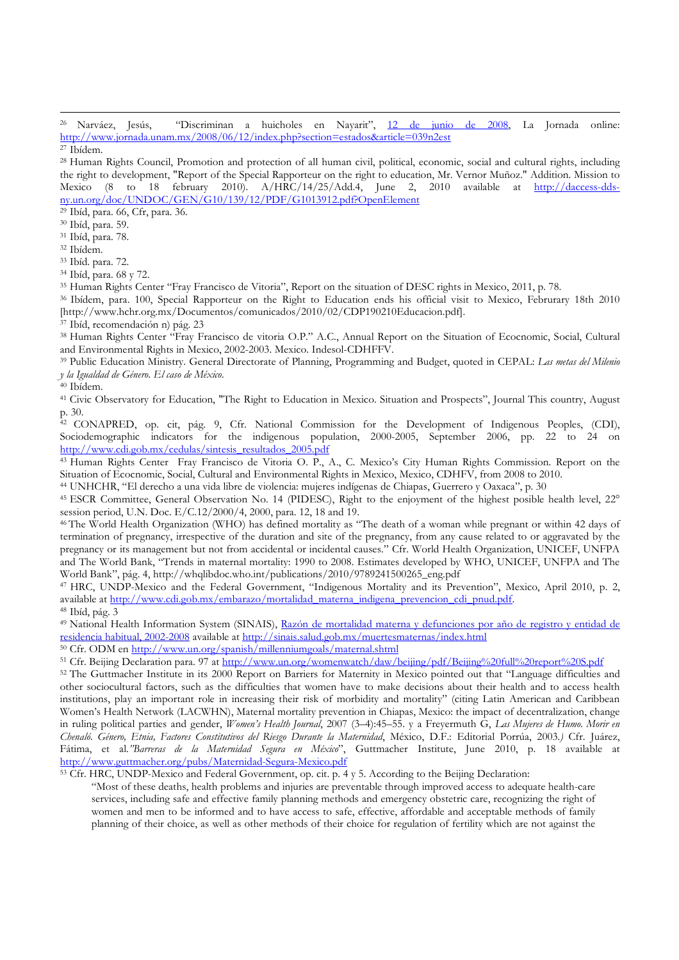<sup>26</sup> Narváez, Jesús, "Discriminan a huicholes en Nayarit", 12 de junio de 2008, La Jornada online: http://www.jornada.unam.mx/2008/06/12/index.php?section=estados&article=039n2est <sup>27</sup> Ibídem.

<sup>28</sup> Human Rights Council, Promotion and protection of all human civil, political, economic, social and cultural rights, including the right to development, "Report of the Special Rapporteur on the right to education, Mr. Vernor Muñoz." Addition. Mission to Mexico (8 to 18 february 2010). A/HRC/14/25/Add.4, June 2, 2010 available at http://daccess-ddsny.un.org/doc/UNDOC/GEN/G10/139/12/PDF/G1013912.pdf?OpenElement

<sup>29</sup> Ibíd, para. 66, Cfr, para. 36.

<sup>30</sup> Ibíd, para. 59.

<sup>31</sup> Ibíd, para. 78.

<sup>32</sup> Ibídem.

l

<sup>33</sup> Ibíd. para. 72.

<sup>34</sup> Ibíd, para. 68 y 72.

<sup>35</sup> Human Rights Center "Fray Francisco de Vitoria", Report on the situation of DESC rights in Mexico, 2011, p. 78.

<sup>36</sup> Ibídem, para. 100, Special Rapporteur on the Right to Education ends his official visit to Mexico, Februrary 18th 2010 [http://www.hchr.org.mx/Documentos/comunicados/2010/02/CDP190210Educacion.pdf].

<sup>37</sup> Ibíd, recomendación n) pág. 23

<sup>38</sup> Human Rights Center "Fray Francisco de vitoria O.P." A.C., Annual Report on the Situation of Ecocnomic, Social, Cultural and Environmental Rights in Mexico, 2002-2003. Mexico. Indesol-CDHFFV.

<sup>39</sup> Public Education Ministry. General Directorate of Planning, Programming and Budget, quoted in CEPAL: *Las metas del Milenio y la Igualdad de Género. El caso de México.*

<sup>40</sup> Ibídem.

<sup>41</sup> Civic Observatory for Education, "The Right to Education in Mexico. Situation and Prospects", Journal This country, August p. 30.

<sup>42</sup> CONAPRED, op. cit, pág. 9, Cfr. National Commission for the Development of Indigenous Peoples, (CDI), Sociodemographic indicators for the indigenous population, 2000-2005, September 2006, pp. 22 to 24 on http://www.cdi.gob.mx/cedulas/sintesis\_resultados\_2005.pdf

<sup>43</sup> Human Rights Center Fray Francisco de Vitoria O. P., A., C. Mexico's City Human Rights Commission. Report on the Situation of Ecocnomic, Social, Cultural and Environmental Rights in Mexico, Mexico, CDHFV, from 2008 to 2010.

<sup>44</sup> UNHCHR, "El derecho a una vida libre de violencia: mujeres indígenas de Chiapas, Guerrero y Oaxaca", p. 30

<sup>45</sup> ESCR Committee, General Observation No. 14 (PIDESC), Right to the enjoyment of the highest posible health level, 22° session period, U.N. Doc. E/C.12/2000/4, 2000, para. 12, 18 and 19.

<sup>46</sup>The World Health Organization (WHO) has defined mortality as "The death of a woman while pregnant or within 42 days of termination of pregnancy, irrespective of the duration and site of the pregnancy, from any cause related to or aggravated by the pregnancy or its management but not from accidental or incidental causes." Cfr. World Health Organization, UNICEF, UNFPA and The World Bank, "Trends in maternal mortality: 1990 to 2008. Estimates developed by WHO, UNICEF, UNFPA and The World Bank", pág. 4, http://whqlibdoc.who.int/publications/2010/9789241500265\_eng.pdf

<sup>47</sup> HRC, UNDP-Mexico and the Federal Government, "Indigenous Mortality and its Prevention", Mexico, April 2010, p. 2, available at http://www.cdi.gob.mx/embarazo/mortalidad\_materna\_indigena\_prevencion\_cdi\_pnud.pdf.

<sup>48</sup> Ibíd, pág. 3

<sup>49</sup> National Health Information System (SINAIS), Razón de mortalidad materna y defunciones por año de registro y entidad de residencia habitual, 2002-2008 available at http://sinais.salud.gob.mx/muertesmaternas/index.html

<sup>50</sup> Cfr. ODM en http://www.un.org/spanish/millenniumgoals/maternal.shtml

<sup>51</sup> Cfr. Beijing Declaration para. 97 at http://www.un.org/womenwatch/daw/beijing/pdf/Beijing%20full%20report%20S.pdf

<sup>52</sup> The Guttmacher Institute in its 2000 Report on Barriers for Maternity in Mexico pointed out that "Language difficulties and other sociocultural factors, such as the difficulties that women have to make decisions about their health and to access health institutions, play an important role in increasing their risk of morbidity and mortality" (citing Latin American and Caribbean Women's Health Network (LACWHN), Maternal mortality prevention in Chiapas, Mexico: the impact of decentralization, change in ruling political parties and gender, *Women's Health Journal*, 2007 (3–4):45–55. y a Freyermuth G, *Las Mujeres de Humo. Morir en Chenaló. Género, Etnia, Factores Constitutivos del Riesgo Durante la Maternidad*, México, D.F.: Editorial Porrúa, 2003.*)* Cfr. Juárez, Fátima, et al*."Barreras de la Maternidad Segura en México*", Guttmacher Institute, June 2010, p. 18 available at http://www.guttmacher.org/pubs/Maternidad-Segura-Mexico.pdf

<sup>53</sup> Cfr. HRC, UNDP-Mexico and Federal Government, op. cit. p. 4 y 5. According to the Beijing Declaration:

"Most of these deaths, health problems and injuries are preventable through improved access to adequate health-care services, including safe and effective family planning methods and emergency obstetric care, recognizing the right of women and men to be informed and to have access to safe, effective, affordable and acceptable methods of family planning of their choice, as well as other methods of their choice for regulation of fertility which are not against the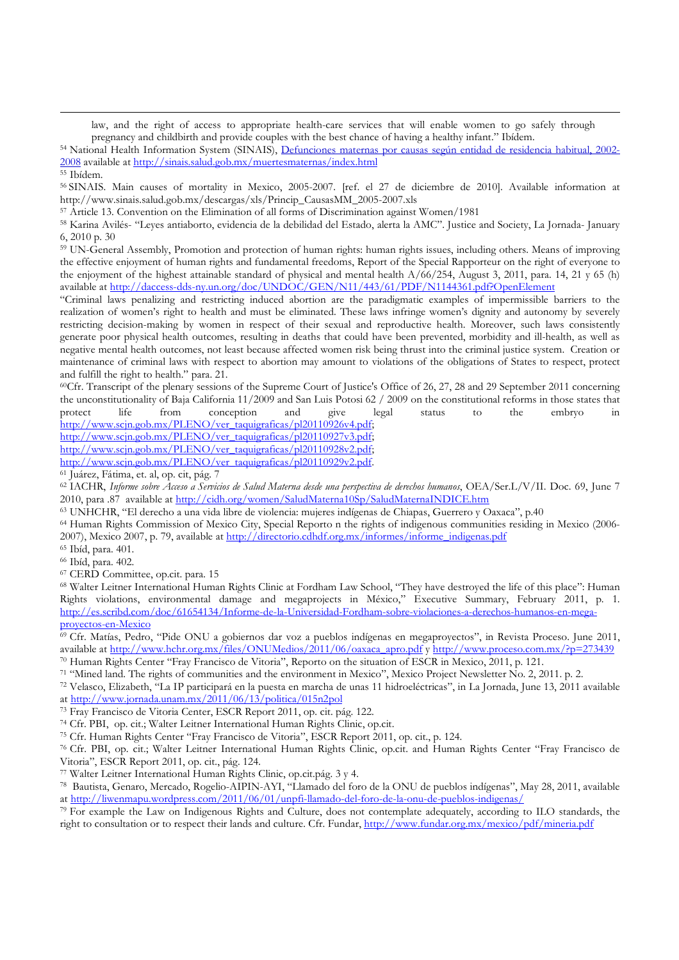law, and the right of access to appropriate health-care services that will enable women to go safely through pregnancy and childbirth and provide couples with the best chance of having a healthy infant." Ibídem.

<sup>54</sup> National Health Information System (SINAIS), Defunciones maternas por causas según entidad de residencia habitual, 2002- 2008 available at http://sinais.salud.gob.mx/muertesmaternas/index.html

l

<sup>56</sup> SINAIS. Main causes of mortality in Mexico, 2005-2007. [ref. el 27 de diciembre de 2010]. Available information at http://www.sinais.salud.gob.mx/descargas/xls/Princip\_CausasMM\_2005-2007.xls

<sup>57</sup> Article 13. Convention on the Elimination of all forms of Discrimination against Women/1981

<sup>58</sup> Karina Avilés- "Leyes antiaborto, evidencia de la debilidad del Estado, alerta la AMC". Justice and Society, La Jornada- January 6, 2010 p. 30

<sup>59</sup> UN-General Assembly, Promotion and protection of human rights: human rights issues, including others. Means of improving the effective enjoyment of human rights and fundamental freedoms, Report of the Special Rapporteur on the right of everyone to the enjoyment of the highest attainable standard of physical and mental health A/66/254, August 3, 2011, para. 14, 21 y 65 (h) available at http://daccess-dds-ny.un.org/doc/UNDOC/GEN/N11/443/61/PDF/N1144361.pdf?OpenElement

"Criminal laws penalizing and restricting induced abortion are the paradigmatic examples of impermissible barriers to the realization of women's right to health and must be eliminated. These laws infringe women's dignity and autonomy by severely restricting decision-making by women in respect of their sexual and reproductive health. Moreover, such laws consistently generate poor physical health outcomes, resulting in deaths that could have been prevented, morbidity and ill-health, as well as negative mental health outcomes, not least because affected women risk being thrust into the criminal justice system. Creation or maintenance of criminal laws with respect to abortion may amount to violations of the obligations of States to respect, protect and fulfill the right to health." para. 21.

<sup>60</sup>Cfr. Transcript of the plenary sessions of the Supreme Court of Justice's Office of 26, 27, 28 and 29 September 2011 concerning the unconstitutionality of Baja California 11/2009 and San Luis Potosi 62 / 2009 on the constitutional reforms in those states that protect life from conception and give legal status to the embryo in http://www.scjn.gob.mx/PLENO/ver\_taquigraficas/pl20110926v4.pdf;

http://www.scjn.gob.mx/PLENO/ver\_taquigraficas/pl20110927v3.pdf;

http://www.scjn.gob.mx/PLENO/ver\_taquigraficas/pl20110928v2.pdf;

http://www.scjn.gob.mx/PLENO/ver\_taquigraficas/pl20110929v2.pdf.

<sup>61</sup> Juárez, Fátima, et. al, op. cit, pág. 7

<sup>62</sup> IACHR, *Informe sobre Acceso a Servicios de Salud Materna desde una perspectiva de derechos humanos*, OEA/Ser.L/V/II. Doc. 69, June 7 2010, para .87 available at http://cidh.org/women/SaludMaterna10Sp/SaludMaternaINDICE.htm

<sup>63</sup> UNHCHR, "El derecho a una vida libre de violencia: mujeres indígenas de Chiapas, Guerrero y Oaxaca", p.40

<sup>64</sup> Human Rights Commission of Mexico City, Special Reporto n the rights of indigenous communities residing in Mexico (2006- 2007), Mexico 2007, p. 79, available at http://directorio.cdhdf.org.mx/informes/informe\_indigenas.pdf

<sup>65</sup> Ibíd, para. 401.

<sup>66</sup> Ibíd, para. 402.

<sup>67</sup> CERD Committee, op.cit. para. 15

<sup>68</sup> Walter Leitner International Human Rights Clinic at Fordham Law School, "They have destroyed the life of this place": Human Rights violations, environmental damage and megaprojects in México," Executive Summary, February 2011, p. 1. http://es.scribd.com/doc/61654134/Informe-de-la-Universidad-Fordham-sobre-violaciones-a-derechos-humanos-en-megaproyectos-en-Mexico

<sup>69</sup> Cfr. Matías, Pedro, "Pide ONU a gobiernos dar voz a pueblos indígenas en megaproyectos", in Revista Proceso. June 2011, available at http://www.hchr.org.mx/files/ONUMedios/2011/06/oaxaca\_apro.pdf y http://www.proceso.com.mx/?p=273439

<sup>70</sup> Human Rights Center "Fray Francisco de Vitoria", Reporto on the situation of ESCR in Mexico, 2011, p. 121.

<sup>71</sup> "Mined land. The rights of communities and the environment in Mexico", Mexico Project Newsletter No. 2, 2011. p. 2.

<sup>72</sup> Velasco, Elizabeth, "La IP participará en la puesta en marcha de unas 11 hidroeléctricas", in La Jornada, June 13, 2011 available at http://www.jornada.unam.mx/2011/06/13/politica/015n2pol

<sup>73</sup> Fray Francisco de Vitoria Center, ESCR Report 2011, op. cit. pág. 122.

<sup>74</sup> Cfr. PBI, op. cit.; Walter Leitner International Human Rights Clinic, op.cit.

<sup>75</sup> Cfr. Human Rights Center "Fray Francisco de Vitoria", ESCR Report 2011, op. cit., p. 124.

<sup>76</sup> Cfr. PBI, op. cit.; Walter Leitner International Human Rights Clinic, op.cit. and Human Rights Center "Fray Francisco de Vitoria", ESCR Report 2011, op. cit., pág. 124.

<sup>77</sup> Walter Leitner International Human Rights Clinic, op.cit.pág. 3 y 4.

<sup>78</sup> Bautista, Genaro, Mercado, Rogelio-AIPIN-AYI, "Llamado del foro de la ONU de pueblos indígenas", May 28, 2011, available at http://liwenmapu.wordpress.com/2011/06/01/unpfi-llamado-del-foro-de-la-onu-de-pueblos-indigenas/

<sup>79</sup> For example the Law on Indigenous Rights and Culture, does not contemplate adequately, according to ILO standards, the right to consultation or to respect their lands and culture. Cfr. Fundar, http://www.fundar.org.mx/mexico/pdf/mineria.pdf

<sup>55</sup> Ibídem.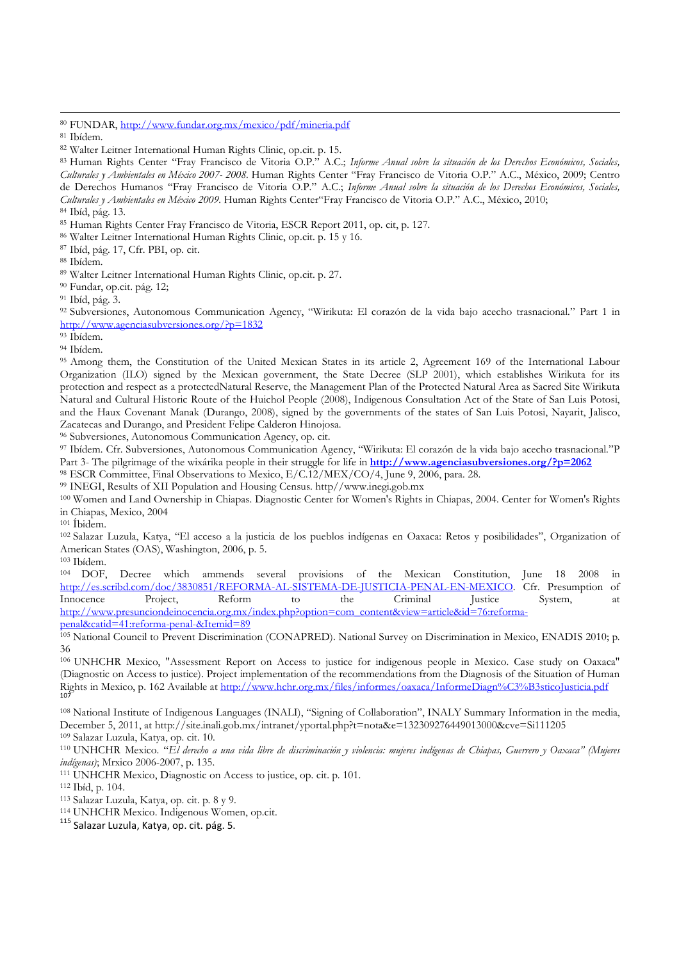l

<sup>83</sup> Human Rights Center "Fray Francisco de Vitoria O.P." A.C.; *Informe Anual sobre la situación de los Derechos Económicos, Sociales, Culturales y Ambientales en México 2007- 2008.* Human Rights Center "Fray Francisco de Vitoria O.P." A.C., México, 2009; Centro de Derechos Humanos "Fray Francisco de Vitoria O.P." A.C.; *Informe Anual sobre la situación de los Derechos Económicos, Sociales, Culturales y Ambientales en México 2009.* Human Rights Center"Fray Francisco de Vitoria O.P." A.C., México, 2010;

<sup>85</sup> Human Rights Center Fray Francisco de Vitoria, ESCR Report 2011, op. cit, p. 127.

<sup>86</sup> Walter Leitner International Human Rights Clinic, op.cit. p. 15 y 16.

<sup>87</sup> Ibíd, pág. 17, Cfr. PBI, op. cit.

<sup>88</sup> Ibídem.

<sup>90</sup> Fundar, op.cit. pág. 12;

92 Subversiones, Autonomous Communication Agency, "Wirikuta: El corazón de la vida bajo acecho trasnacional." Part 1 in http://www.agenciasubversiones.org/?p=1832

<sup>93</sup> Ibídem.

<sup>94</sup> Ibídem.

<sup>95</sup> Among them, the Constitution of the United Mexican States in its article 2, Agreement 169 of the International Labour Organization (ILO) signed by the Mexican government, the State Decree (SLP 2001), which establishes Wirikuta for its protection and respect as a protectedNatural Reserve, the Management Plan of the Protected Natural Area as Sacred Site Wirikuta Natural and Cultural Historic Route of the Huichol People (2008), Indigenous Consultation Act of the State of San Luis Potosi, and the Haux Covenant Manak (Durango, 2008), signed by the governments of the states of San Luis Potosi, Nayarit, Jalisco, Zacatecas and Durango, and President Felipe Calderon Hinojosa.

<sup>96</sup> Subversiones, Autonomous Communication Agency, op. cit.

<sup>97</sup> Ibídem. Cfr. Subversiones, Autonomous Communication Agency, "Wirikuta: El corazón de la vida bajo acecho trasnacional."P Part 3- The pilgrimage of the wixárika people in their struggle for life in **http://www.agenciasubversiones.org/?p=2062** 

<sup>98</sup> ESCR Committee, Final Observations to Mexico, E/C.12/MEX/CO/4, June 9, 2006, para. 28.

<sup>99</sup> INEGI, Results of XII Population and Housing Census. http//www.inegi.gob.mx

<sup>100</sup> Women and Land Ownership in Chiapas. Diagnostic Center for Women's Rights in Chiapas, 2004. Center for Women's Rights in Chiapas, Mexico, 2004

<sup>101</sup> Íbidem.

<sup>102</sup> Salazar Luzula, Katya, "El acceso a la justicia de los pueblos indígenas en Oaxaca: Retos y posibilidades", Organization of American States (OAS), Washington, 2006, p. 5.

 $103$  Ibídem.<br> $104$  DOF DOF, Decree which ammends several provisions of the Mexican Constitution, June 18 2008 in <br>
://es.scribd.com/doc/3830851/REFORMA-AL-SISTEMA-DE-JUSTICIA-PENAL-EN-MEXICO Cfr. Presumption of http://es.scribd.com/doc/3830851/REFORMA-AL-SISTEMA-DE-JUSTICIA-PENAL-EN-MEXICO. Innocence Project, Reform to the Criminal Justice System, at http://www.presunciondeinocencia.org.mx/index.php?option=com\_content&view=article&id=76:reforma-

penal&catid=41:reforma-penal-&Itemid=89

<sup>105</sup> National Council to Prevent Discrimination (CONAPRED). National Survey on Discrimination in Mexico, ENADIS 2010; p. 36

<sup>106</sup> UNHCHR Mexico, "Assessment Report on Access to justice for indigenous people in Mexico. Case study on Oaxaca" (Diagnostic on Access to justice). Project implementation of the recommendations from the Diagnosis of the Situation of Human Rights in Mexico, p. 162 Available at <u>http://www.hchr.org.mx/files/informes/oaxaca/InformeDiagn%C3%B3sticoJusticia.pdf</u><br>107

<sup>108</sup> National Institute of Indigenous Languages (INALI), "Signing of Collaboration", INALY Summary Information in the media, December 5, 2011, at http://site.inali.gob.mx/intranet/yportal.php?t=nota&e=132309276449013000&cve=Si111205 <sup>109</sup> Salazar Luzula, Katya, op. cit. 10.

<sup>110</sup> UNHCHR Mexico. "*El derecho a una vida libre de discriminación y violencia: mujeres indígenas de Chiapas, Guerrero y Oaxaca" (Mujeres indígenas)*; Mrxico 2006-2007, p. 135.

<sup>111</sup> UNHCHR Mexico, Diagnostic on Access to justice, op. cit. p. 101.

<sup>112</sup> Ibíd, p. 104.

<sup>113</sup> Salazar Luzula, Katya, op. cit. p. 8 y 9.

<sup>114</sup> UNHCHR Mexico. Indigenous Women, op.cit.

115 Salazar Luzula, Katya, op. cit. pág. 5.

<sup>80</sup> FUNDAR, http://www.fundar.org.mx/mexico/pdf/mineria.pdf

<sup>81</sup> Ibídem.

<sup>82</sup> Walter Leitner International Human Rights Clinic, op.cit. p. 15.

<sup>84</sup> Ibíd, pág. 13.

<sup>89</sup> Walter Leitner International Human Rights Clinic, op.cit. p. 27.

<sup>91</sup> Ibíd, pág. 3.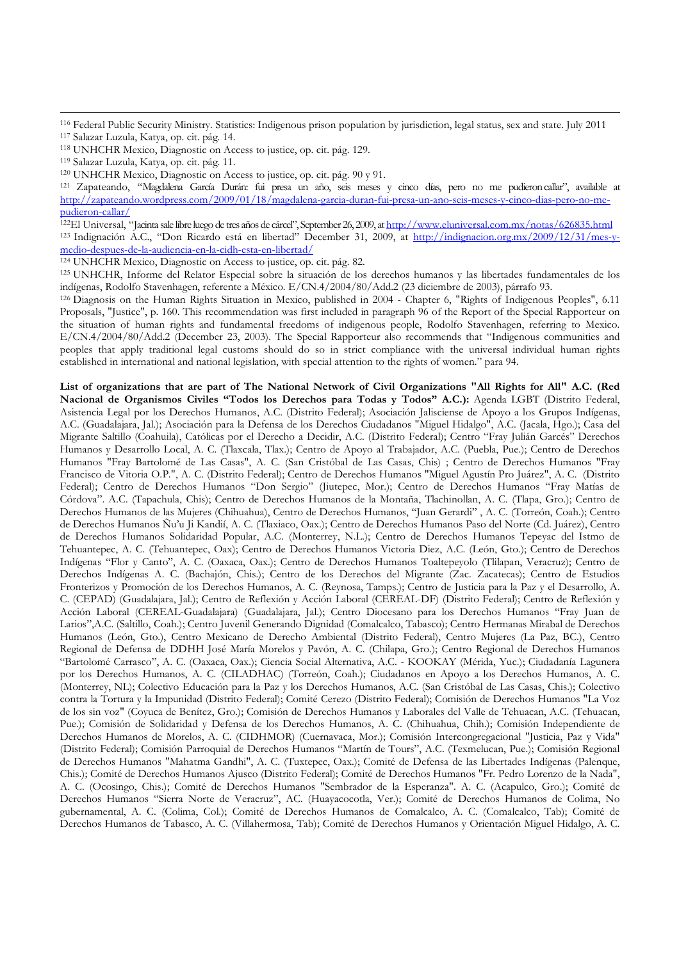<sup>116</sup> Federal Public Security Ministry. Statistics: Indigenous prison population by jurisdiction, legal status, sex and state. July 2011 <sup>117</sup> Salazar Luzula, Katya, op. cit. pág. 14.

l

<sup>121</sup> Zapateando, "Magdalena García Durán: fui presa un año, seis meses y cinco días, pero no me pudieron callar", available at http://zapateando.wordpress.com/2009/01/18/magdalena-garcia-duran-fui-presa-un-ano-seis-meses-y-cinco-dias-pero-no-mepudieron-callar/

<sup>122</sup>El Universal, "Jacinta sale libre luego de tres años de cárcel", September 26, 2009, at <u>http://www.eluniversal.com.mx/notas/626835.html</u> <sup>123</sup> Indignación A.C., "Don Ricardo está en libertad" December 31, 2009, at http://indignacion.org.mx/2009/12/31/mes-ymedio-despues-de-la-audiencia-en-la-cidh-esta-en-libertad/

<sup>124</sup> UNHCHR Mexico, Diagnostic on Access to justice, op. cit. pág. 82.

<sup>125</sup> UNHCHR, Informe del Relator Especial sobre la situación de los derechos humanos y las libertades fundamentales de los indígenas, Rodolfo Stavenhagen, referente a México. E/CN.4/2004/80/Add.2 (23 diciembre de 2003), párrafo 93.

<sup>126</sup> Diagnosis on the Human Rights Situation in Mexico, published in 2004 - Chapter 6, "Rights of Indigenous Peoples", 6.11 Proposals, "Justice", p. 160. This recommendation was first included in paragraph 96 of the Report of the Special Rapporteur on the situation of human rights and fundamental freedoms of indigenous people, Rodolfo Stavenhagen, referring to Mexico. E/CN.4/2004/80/Add.2 (December 23, 2003). The Special Rapporteur also recommends that "Indigenous communities and peoples that apply traditional legal customs should do so in strict compliance with the universal individual human rights established in international and national legislation, with special attention to the rights of women." para 94.

**List of organizations that are part of The National Network of Civil Organizations "All Rights for All" A.C. (Red Nacional de Organismos Civiles "Todos los Derechos para Todas y Todos" A.C.):** Agenda LGBT (Distrito Federal, Asistencia Legal por los Derechos Humanos, A.C. (Distrito Federal); Asociación Jalisciense de Apoyo a los Grupos Indígenas, A.C. (Guadalajara, Jal.); Asociación para la Defensa de los Derechos Ciudadanos "Miguel Hidalgo", A.C. (Jacala, Hgo.); Casa del Migrante Saltillo (Coahuila), Católicas por el Derecho a Decidir, A.C. (Distrito Federal); Centro "Fray Julián Garcés" Derechos Humanos y Desarrollo Local, A. C. (Tlaxcala, Tlax.); Centro de Apoyo al Trabajador, A.C. (Puebla, Pue.); Centro de Derechos Humanos "Fray Bartolomé de Las Casas", A. C. (San Cristóbal de Las Casas, Chis) ; Centro de Derechos Humanos "Fray Francisco de Vitoria O.P.", A. C. (Distrito Federal); Centro de Derechos Humanos "Miguel Agustín Pro Juárez", A. C. (Distrito Federal); Centro de Derechos Humanos "Don Sergio" (Jiutepec, Mor.); Centro de Derechos Humanos "Fray Matías de Córdova". A.C. (Tapachula, Chis); Centro de Derechos Humanos de la Montaña, Tlachinollan, A. C. (Tlapa, Gro.); Centro de Derechos Humanos de las Mujeres (Chihuahua), Centro de Derechos Humanos, "Juan Gerardi" , A. C. (Torreón, Coah.); Centro de Derechos Humanos Ñu'u Ji Kandií, A. C. (Tlaxiaco, Oax.); Centro de Derechos Humanos Paso del Norte (Cd. Juárez), Centro de Derechos Humanos Solidaridad Popular, A.C. (Monterrey, N.L.); Centro de Derechos Humanos Tepeyac del Istmo de Tehuantepec, A. C. (Tehuantepec, Oax); Centro de Derechos Humanos Victoria Diez, A.C. (León, Gto.); Centro de Derechos Indígenas "Flor y Canto", A. C. (Oaxaca, Oax.); Centro de Derechos Humanos Toaltepeyolo (Tlilapan, Veracruz); Centro de Derechos Indígenas A. C. (Bachajón, Chis.); Centro de los Derechos del Migrante (Zac. Zacatecas); Centro de Estudios Fronterizos y Promoción de los Derechos Humanos, A. C. (Reynosa, Tamps.); Centro de Justicia para la Paz y el Desarrollo, A. C. (CEPAD) (Guadalajara, Jal.); Centro de Reflexión y Acción Laboral (CEREAL-DF) (Distrito Federal); Centro de Reflexión y Acción Laboral (CEREAL-Guadalajara) (Guadalajara, Jal.); Centro Diocesano para los Derechos Humanos "Fray Juan de Larios",A.C. (Saltillo, Coah.); Centro Juvenil Generando Dignidad (Comalcalco, Tabasco); Centro Hermanas Mirabal de Derechos Humanos (León, Gto.), Centro Mexicano de Derecho Ambiental (Distrito Federal), Centro Mujeres (La Paz, BC.), Centro Regional de Defensa de DDHH José María Morelos y Pavón, A. C. (Chilapa, Gro.); Centro Regional de Derechos Humanos "Bartolomé Carrasco", A. C. (Oaxaca, Oax.); Ciencia Social Alternativa, A.C. - KOOKAY (Mérida, Yuc.); Ciudadanía Lagunera por los Derechos Humanos, A. C. (CILADHAC) (Torreón, Coah.); Ciudadanos en Apoyo a los Derechos Humanos, A. C. (Monterrey, NL); Colectivo Educación para la Paz y los Derechos Humanos, A.C. (San Cristóbal de Las Casas, Chis.); Colectivo contra la Tortura y la Impunidad (Distrito Federal); Comité Cerezo (Distrito Federal); Comisión de Derechos Humanos "La Voz de los sin voz" (Coyuca de Benítez, Gro.); Comisión de Derechos Humanos y Laborales del Valle de Tehuacan, A.C. (Tehuacan, Pue.); Comisión de Solidaridad y Defensa de los Derechos Humanos, A. C. (Chihuahua, Chih.); Comisión Independiente de Derechos Humanos de Morelos, A. C. (CIDHMOR) (Cuernavaca, Mor.); Comisión Intercongregacional "Justicia, Paz y Vida" (Distrito Federal); Comisión Parroquial de Derechos Humanos "Martín de Tours", A.C. (Texmelucan, Pue.); Comisión Regional de Derechos Humanos "Mahatma Gandhi", A. C. (Tuxtepec, Oax.); Comité de Defensa de las Libertades Indígenas (Palenque, Chis.); Comité de Derechos Humanos Ajusco (Distrito Federal); Comité de Derechos Humanos "Fr. Pedro Lorenzo de la Nada", A. C. (Ocosingo, Chis.); Comité de Derechos Humanos "Sembrador de la Esperanza". A. C. (Acapulco, Gro.); Comité de Derechos Humanos "Sierra Norte de Veracruz", AC. (Huayacocotla, Ver.); Comité de Derechos Humanos de Colima, No gubernamental, A. C. (Colima, Col.); Comité de Derechos Humanos de Comalcalco, A. C. (Comalcalco, Tab); Comité de Derechos Humanos de Tabasco, A. C. (Villahermosa, Tab); Comité de Derechos Humanos y Orientación Miguel Hidalgo, A. C.

<sup>118</sup> UNHCHR Mexico, Diagnostic on Access to justice, op. cit. pág. 129.

<sup>119</sup> Salazar Luzula, Katya, op. cit. pág. 11.

<sup>120</sup> UNHCHR Mexico, Diagnostic on Access to justice, op. cit. pág. 90 y 91.